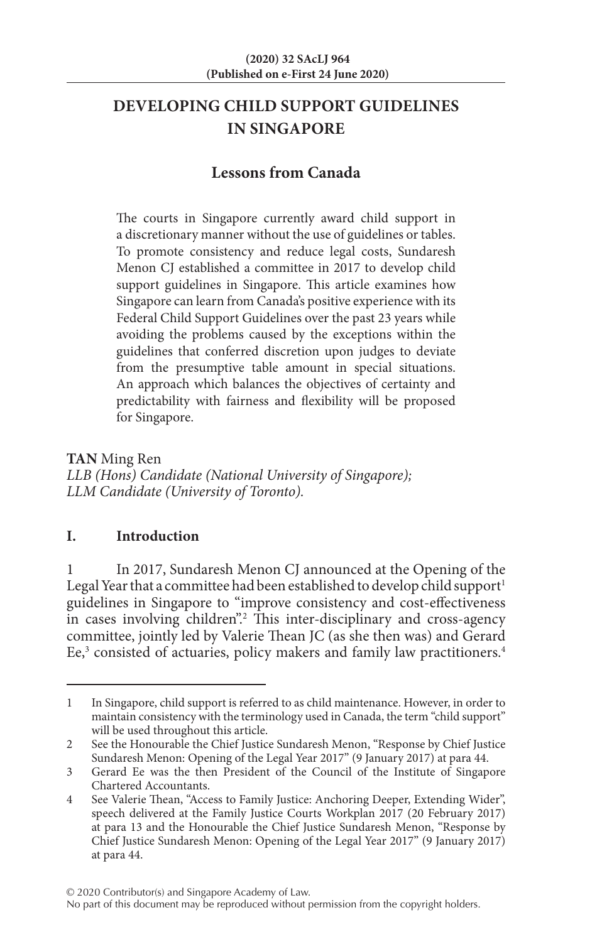# **DEVELOPING CHILD SUPPORT GUIDELINES IN SINGAPORE**

## **Lessons from Canada**

The courts in Singapore currently award child support in a discretionary manner without the use of guidelines or tables. To promote consistency and reduce legal costs, Sundaresh Menon CJ established a committee in 2017 to develop child support guidelines in Singapore. This article examines how Singapore can learn from Canada's positive experience with its Federal Child Support Guidelines over the past 23 years while avoiding the problems caused by the exceptions within the guidelines that conferred discretion upon judges to deviate from the presumptive table amount in special situations. An approach which balances the objectives of certainty and predictability with fairness and flexibility will be proposed for Singapore.

**TAN** Ming Ren *LLB (Hons) Candidate (National University of Singapore); LLM Candidate (University of Toronto).*

## **I. Introduction**

In 2017, Sundaresh Menon CJ announced at the Opening of the Legal Year that a committee had been established to develop child support<sup>1</sup> guidelines in Singapore to "improve consistency and cost-effectiveness in cases involving children".<sup>2</sup> This inter-disciplinary and cross-agency committee, jointly led by Valerie Thean JC (as she then was) and Gerard Ee,<sup>3</sup> consisted of actuaries, policy makers and family law practitioners.<sup>4</sup>

<sup>1</sup> In Singapore, child support is referred to as child maintenance. However, in order to maintain consistency with the terminology used in Canada, the term "child support" will be used throughout this article.

<sup>2</sup> See the Honourable the Chief Justice Sundaresh Menon, "Response by Chief Justice Sundaresh Menon: Opening of the Legal Year 2017" (9 January 2017) at para 44.

<sup>3</sup> Gerard Ee was the then President of the Council of the Institute of Singapore Chartered Accountants.

<sup>4</sup> See Valerie Thean, "Access to Family Justice: Anchoring Deeper, Extending Wider", speech delivered at the Family Justice Courts Workplan 2017 (20 February 2017) at para 13 and the Honourable the Chief Justice Sundaresh Menon, "Response by Chief Justice Sundaresh Menon: Opening of the Legal Year 2017" (9 January 2017) at para 44.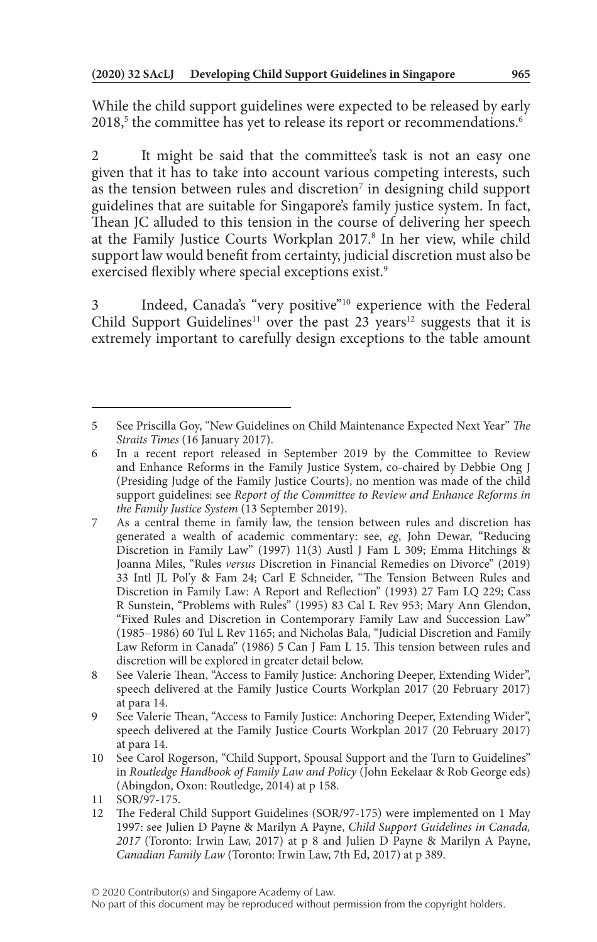While the child support guidelines were expected to be released by early  $2018<sup>5</sup>$  the committee has yet to release its report or recommendations. $<sup>6</sup>$ </sup>

2 It might be said that the committee's task is not an easy one given that it has to take into account various competing interests, such as the tension between rules and discretion<sup>7</sup> in designing child support guidelines that are suitable for Singapore's family justice system. In fact, Thean JC alluded to this tension in the course of delivering her speech at the Family Justice Courts Workplan 2017.<sup>8</sup> In her view, while child support law would benefit from certainty, judicial discretion must also be exercised flexibly where special exceptions exist.<sup>9</sup>

3 Indeed, Canada's "very positive"10 experience with the Federal Child Support Guidelines<sup>11</sup> over the past 23 years<sup>12</sup> suggests that it is extremely important to carefully design exceptions to the table amount

<sup>5</sup> See Priscilla Goy, "New Guidelines on Child Maintenance Expected Next Year" *The Straits Times* (16 January 2017).

<sup>6</sup> In a recent report released in September 2019 by the Committee to Review and Enhance Reforms in the Family Justice System, co-chaired by Debbie Ong J (Presiding Judge of the Family Justice Courts), no mention was made of the child support guidelines: see *Report of the Committee to Review and Enhance Reforms in the Family Justice System* (13 September 2019).

<sup>7</sup> As a central theme in family law, the tension between rules and discretion has generated a wealth of academic commentary: see, *eg*, John Dewar, "Reducing Discretion in Family Law" (1997) 11(3) Austl J Fam L 309; Emma Hitchings & Joanna Miles, "Rules *versus* Discretion in Financial Remedies on Divorce" (2019) 33 Intl JL Pol'y & Fam 24; Carl E Schneider, "The Tension Between Rules and Discretion in Family Law: A Report and Reflection" (1993) 27 Fam LQ 229; Cass R Sunstein, "Problems with Rules" (1995) 83 Cal L Rev 953; Mary Ann Glendon, "Fixed Rules and Discretion in Contemporary Family Law and Succession Law" (1985–1986) 60 Tul L Rev 1165; and Nicholas Bala, "Judicial Discretion and Family Law Reform in Canada" (1986) 5 Can J Fam L 15. This tension between rules and discretion will be explored in greater detail below.

<sup>8</sup> See Valerie Thean, "Access to Family Justice: Anchoring Deeper, Extending Wider", speech delivered at the Family Justice Courts Workplan 2017 (20 February 2017) at para 14.

<sup>9</sup> See Valerie Thean, "Access to Family Justice: Anchoring Deeper, Extending Wider", speech delivered at the Family Justice Courts Workplan 2017 (20 February 2017) at para 14.

<sup>10</sup> See Carol Rogerson, "Child Support, Spousal Support and the Turn to Guidelines" in *Routledge Handbook of Family Law and Policy* (John Eekelaar & Rob George eds) (Abingdon, Oxon: Routledge, 2014) at p 158.

<sup>11</sup> SOR/97-175.

<sup>12</sup> The Federal Child Support Guidelines (SOR/97-175) were implemented on 1 May 1997: see Julien D Payne & Marilyn A Payne, *Child Support Guidelines in Canada, 2017* (Toronto: Irwin Law, 2017) at p 8 and Julien D Payne & Marilyn A Payne, *Canadian Family Law* (Toronto: Irwin Law, 7th Ed, 2017) at p 389.

No part of this document may be reproduced without permission from the copyright holders.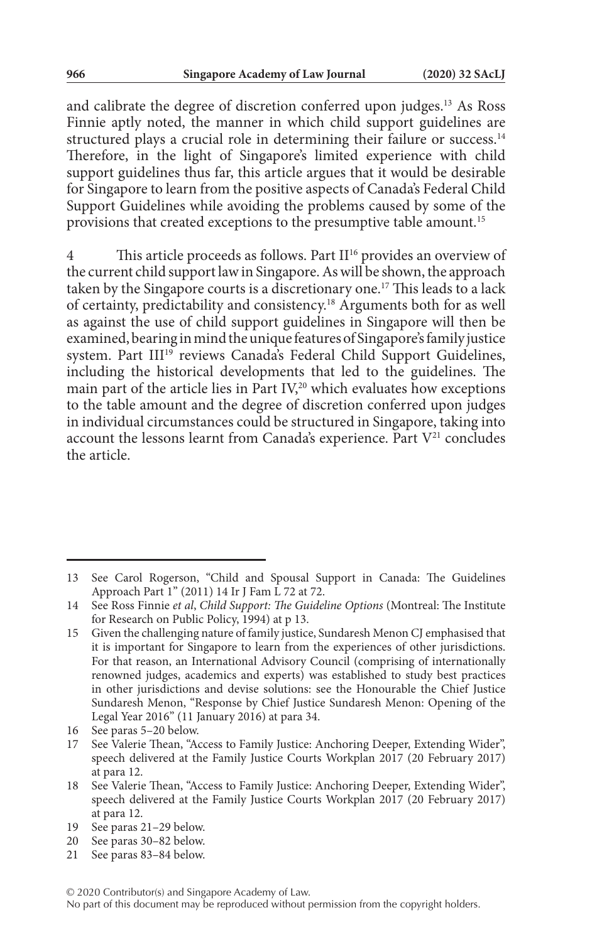and calibrate the degree of discretion conferred upon judges.13 As Ross Finnie aptly noted, the manner in which child support guidelines are structured plays a crucial role in determining their failure or success.<sup>14</sup> Therefore, in the light of Singapore's limited experience with child support guidelines thus far, this article argues that it would be desirable for Singapore to learn from the positive aspects of Canada's Federal Child Support Guidelines while avoiding the problems caused by some of the provisions that created exceptions to the presumptive table amount.15

4 This article proceeds as follows. Part II<sup>16</sup> provides an overview of the current child support law in Singapore. As will be shown, the approach taken by the Singapore courts is a discretionary one.17 This leads to a lack of certainty, predictability and consistency.18 Arguments both for as well as against the use of child support guidelines in Singapore will then be examined, bearing in mind the unique features of Singapore's family justice system. Part III<sup>19</sup> reviews Canada's Federal Child Support Guidelines, including the historical developments that led to the guidelines. The main part of the article lies in Part IV,<sup>20</sup> which evaluates how exceptions to the table amount and the degree of discretion conferred upon judges in individual circumstances could be structured in Singapore, taking into account the lessons learnt from Canada's experience. Part  $V^{21}$  concludes the article.

<sup>13</sup> See Carol Rogerson, "Child and Spousal Support in Canada: The Guidelines Approach Part 1" (2011) 14 Ir J Fam L 72 at 72.

<sup>14</sup> See Ross Finnie *et al*, *Child Support: The Guideline Options* (Montreal: The Institute for Research on Public Policy, 1994) at p 13.

<sup>15</sup> Given the challenging nature of family justice, Sundaresh Menon CJ emphasised that it is important for Singapore to learn from the experiences of other jurisdictions. For that reason, an International Advisory Council (comprising of internationally renowned judges, academics and experts) was established to study best practices in other jurisdictions and devise solutions: see the Honourable the Chief Justice Sundaresh Menon, "Response by Chief Justice Sundaresh Menon: Opening of the Legal Year 2016" (11 January 2016) at para 34.

<sup>16</sup> See paras 5–20 below.

See Valerie Thean, "Access to Family Justice: Anchoring Deeper, Extending Wider", speech delivered at the Family Justice Courts Workplan 2017 (20 February 2017) at para 12.

<sup>18</sup> See Valerie Thean, "Access to Family Justice: Anchoring Deeper, Extending Wider", speech delivered at the Family Justice Courts Workplan 2017 (20 February 2017) at para 12.

<sup>19</sup> See paras 21–29 below.

<sup>20</sup> See paras 30–82 below.

<sup>21</sup> See paras 83–84 below.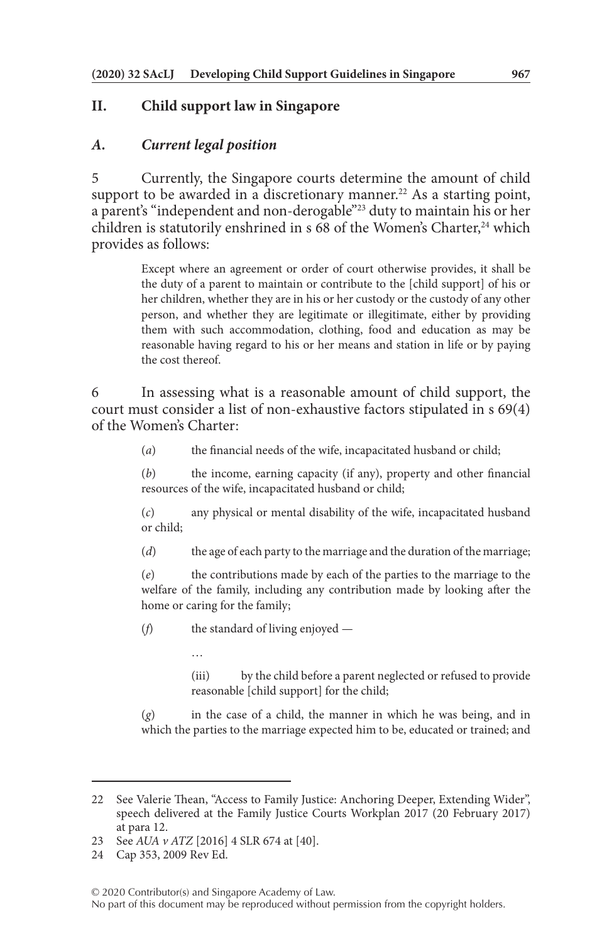## **II. Child support law in Singapore**

#### *A. Current legal position*

5 Currently, the Singapore courts determine the amount of child support to be awarded in a discretionary manner.<sup>22</sup> As a starting point, a parent's "independent and non-derogable"23 duty to maintain his or her children is statutorily enshrined in s  $68$  of the Women's Charter,<sup>24</sup> which provides as follows:

> Except where an agreement or order of court otherwise provides, it shall be the duty of a parent to maintain or contribute to the [child support] of his or her children, whether they are in his or her custody or the custody of any other person, and whether they are legitimate or illegitimate, either by providing them with such accommodation, clothing, food and education as may be reasonable having regard to his or her means and station in life or by paying the cost thereof.

6 In assessing what is a reasonable amount of child support, the court must consider a list of non-exhaustive factors stipulated in s 69(4) of the Women's Charter:

(*a*) the financial needs of the wife, incapacitated husband or child;

(*b*) the income, earning capacity (if any), property and other financial resources of the wife, incapacitated husband or child;

(*c*) any physical or mental disability of the wife, incapacitated husband or child;

(*d*) the age of each party to the marriage and the duration of the marriage;

(*e*) the contributions made by each of the parties to the marriage to the welfare of the family, including any contribution made by looking after the home or caring for the family;

(*f*) the standard of living enjoyed —

…

(iii) by the child before a parent neglected or refused to provide reasonable [child support] for the child;

(*g*) in the case of a child, the manner in which he was being, and in which the parties to the marriage expected him to be, educated or trained; and

<sup>22</sup> See Valerie Thean, "Access to Family Justice: Anchoring Deeper, Extending Wider", speech delivered at the Family Justice Courts Workplan 2017 (20 February 2017) at para 12.

<sup>23</sup> See *AUA v ATZ* [2016] 4 SLR 674 at [40].

<sup>24</sup> Cap 353, 2009 Rev Ed.

No part of this document may be reproduced without permission from the copyright holders.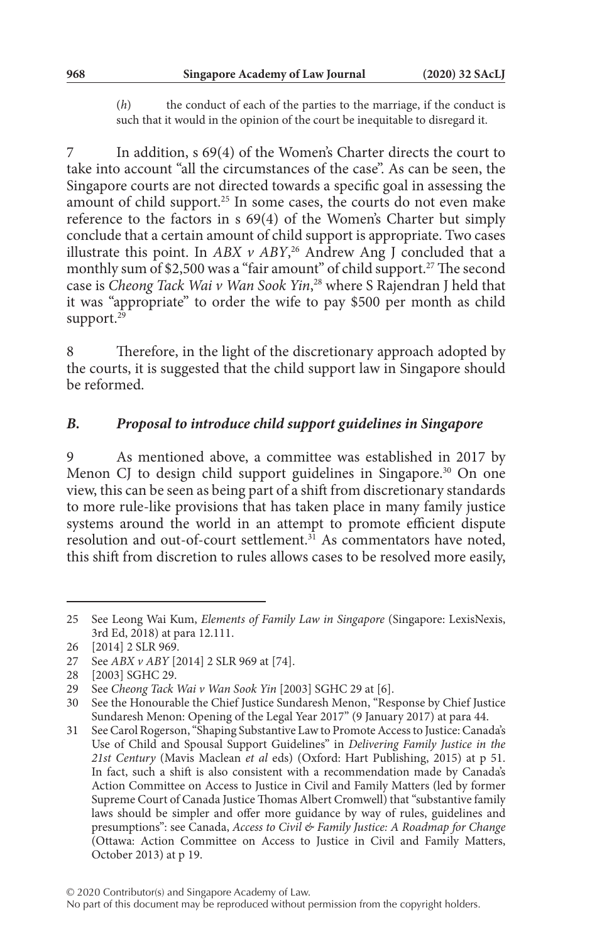(*h*) the conduct of each of the parties to the marriage, if the conduct is such that it would in the opinion of the court be inequitable to disregard it.

In addition, s 69(4) of the Women's Charter directs the court to take into account "all the circumstances of the case". As can be seen, the Singapore courts are not directed towards a specific goal in assessing the amount of child support.<sup>25</sup> In some cases, the courts do not even make reference to the factors in s 69(4) of the Women's Charter but simply conclude that a certain amount of child support is appropriate. Two cases illustrate this point. In *ABX v ABY*, 26 Andrew Ang J concluded that a monthly sum of \$2,500 was a "fair amount" of child support.<sup>27</sup> The second case is *Cheong Tack Wai v Wan Sook Yin*, 28 where S Rajendran J held that it was "appropriate" to order the wife to pay \$500 per month as child support.<sup>29</sup>

8 Therefore, in the light of the discretionary approach adopted by the courts, it is suggested that the child support law in Singapore should be reformed.

#### *B. Proposal to introduce child support guidelines in Singapore*

9 As mentioned above, a committee was established in 2017 by Menon CJ to design child support guidelines in Singapore.<sup>30</sup> On one view, this can be seen as being part of a shift from discretionary standards to more rule-like provisions that has taken place in many family justice systems around the world in an attempt to promote efficient dispute resolution and out-of-court settlement. $3<sup>1</sup>$  As commentators have noted, this shift from discretion to rules allows cases to be resolved more easily,

<sup>25</sup> See Leong Wai Kum, *Elements of Family Law in Singapore* (Singapore: LexisNexis, 3rd Ed, 2018) at para 12.111.

<sup>26</sup> [2014] 2 SLR 969.

<sup>27</sup> See *ABX v ABY* [2014] 2 SLR 969 at [74].

<sup>28</sup> [2003] SGHC 29.

<sup>29</sup> See *Cheong Tack Wai v Wan Sook Yin* [2003] SGHC 29 at [6].

<sup>30</sup> See the Honourable the Chief Justice Sundaresh Menon, "Response by Chief Justice Sundaresh Menon: Opening of the Legal Year 2017" (9 January 2017) at para 44.

<sup>31</sup> See Carol Rogerson, "Shaping Substantive Law to Promote Access to Justice: Canada's Use of Child and Spousal Support Guidelines" in *Delivering Family Justice in the 21st Century* (Mavis Maclean *et al* eds) (Oxford: Hart Publishing, 2015) at p 51. In fact, such a shift is also consistent with a recommendation made by Canada's Action Committee on Access to Justice in Civil and Family Matters (led by former Supreme Court of Canada Justice Thomas Albert Cromwell) that "substantive family laws should be simpler and offer more guidance by way of rules, guidelines and presumptions": see Canada, *Access to Civil & Family Justice: A Roadmap for Change* (Ottawa: Action Committee on Access to Justice in Civil and Family Matters, October 2013) at p 19.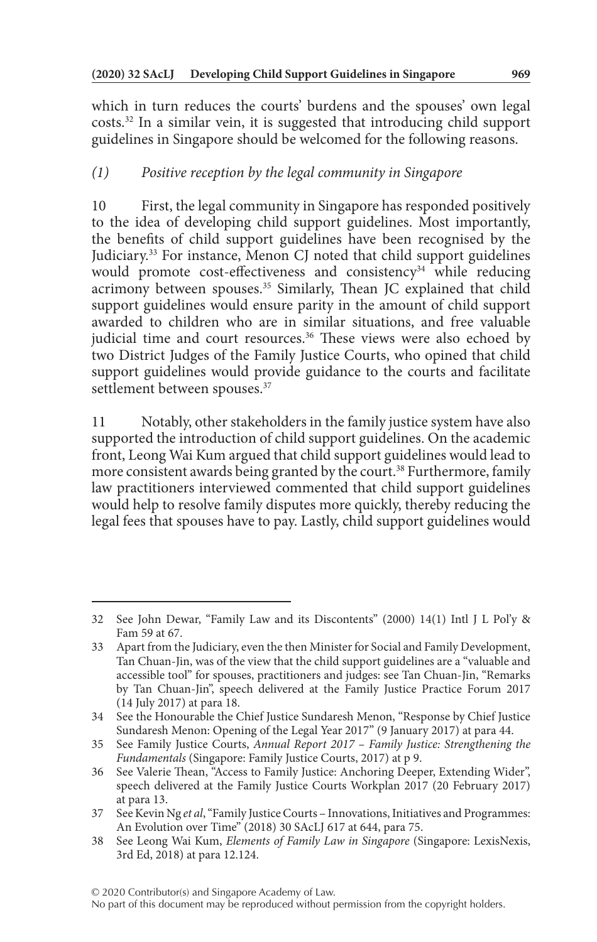which in turn reduces the courts' burdens and the spouses' own legal costs.32 In a similar vein, it is suggested that introducing child support guidelines in Singapore should be welcomed for the following reasons.

## *(1) Positive reception by the legal community in Singapore*

10 First, the legal community in Singapore has responded positively to the idea of developing child support guidelines. Most importantly, the benefits of child support guidelines have been recognised by the Judiciary.33 For instance, Menon CJ noted that child support guidelines would promote cost-effectiveness and consistency<sup>34</sup> while reducing acrimony between spouses.<sup>35</sup> Similarly, Thean JC explained that child support guidelines would ensure parity in the amount of child support awarded to children who are in similar situations, and free valuable judicial time and court resources.<sup>36</sup> These views were also echoed by two District Judges of the Family Justice Courts, who opined that child support guidelines would provide guidance to the courts and facilitate settlement between spouses.<sup>37</sup>

11 Notably, other stakeholders in the family justice system have also supported the introduction of child support guidelines. On the academic front, Leong Wai Kum argued that child support guidelines would lead to more consistent awards being granted by the court.<sup>38</sup> Furthermore, family law practitioners interviewed commented that child support guidelines would help to resolve family disputes more quickly, thereby reducing the legal fees that spouses have to pay. Lastly, child support guidelines would

<sup>32</sup> See John Dewar, "Family Law and its Discontents" (2000) 14(1) Intl J L Pol'y & Fam 59 at 67.

<sup>33</sup> Apart from the Judiciary, even the then Minister for Social and Family Development, Tan Chuan-Jin, was of the view that the child support guidelines are a "valuable and accessible tool" for spouses, practitioners and judges: see Tan Chuan-Jin, "Remarks by Tan Chuan-Jin", speech delivered at the Family Justice Practice Forum 2017 (14 July 2017) at para 18.

<sup>34</sup> See the Honourable the Chief Justice Sundaresh Menon, "Response by Chief Justice Sundaresh Menon: Opening of the Legal Year 2017" (9 January 2017) at para 44.

<sup>35</sup> See Family Justice Courts, *Annual Report 2017 – Family Justice: Strengthening the Fundamentals* (Singapore: Family Justice Courts, 2017) at p 9.

<sup>36</sup> See Valerie Thean, "Access to Family Justice: Anchoring Deeper, Extending Wider", speech delivered at the Family Justice Courts Workplan 2017 (20 February 2017) at para 13.

<sup>37</sup> See Kevin Ng *et al*, "Family Justice Courts – Innovations, Initiatives and Programmes: An Evolution over Time" (2018) 30 SAcLJ 617 at 644, para 75.

<sup>38</sup> See Leong Wai Kum, *Elements of Family Law in Singapore* (Singapore: LexisNexis, 3rd Ed, 2018) at para 12.124.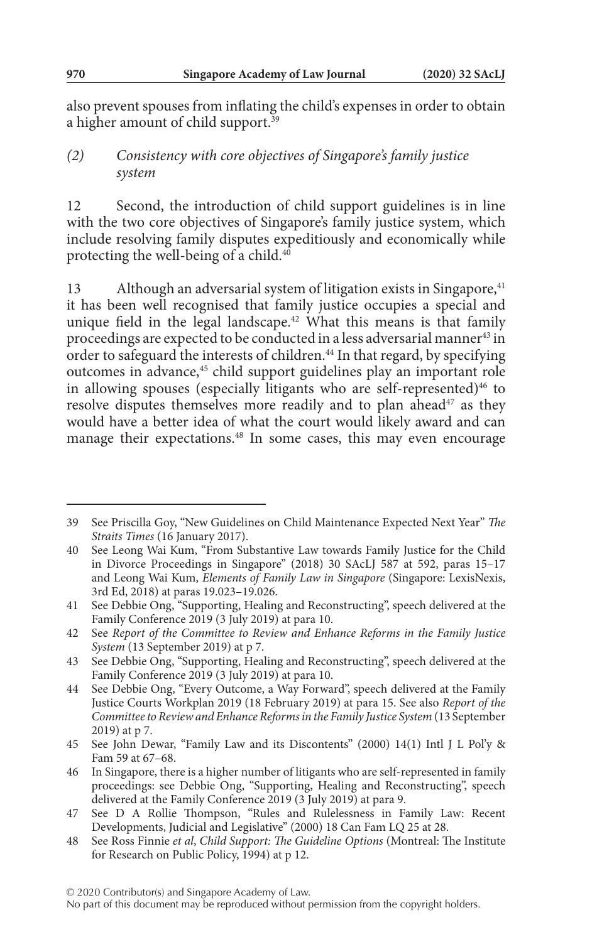also prevent spouses from inflating the child's expenses in order to obtain a higher amount of child support.39

#### *(2) Consistency with core objectives of Singapore's family justice system*

12 Second, the introduction of child support guidelines is in line with the two core objectives of Singapore's family justice system, which include resolving family disputes expeditiously and economically while protecting the well-being of a child.40

13 Although an adversarial system of litigation exists in Singapore,<sup>41</sup> it has been well recognised that family justice occupies a special and unique field in the legal landscape.<sup>42</sup> What this means is that family proceedings are expected to be conducted in a less adversarial manner<sup>43</sup> in order to safeguard the interests of children.<sup>44</sup> In that regard, by specifying outcomes in advance,<sup>45</sup> child support guidelines play an important role in allowing spouses (especially litigants who are self-represented)<sup>46</sup> to resolve disputes themselves more readily and to plan ahead<sup>47</sup> as they would have a better idea of what the court would likely award and can manage their expectations.<sup>48</sup> In some cases, this may even encourage

<sup>39</sup> See Priscilla Goy, "New Guidelines on Child Maintenance Expected Next Year" *The Straits Times* (16 January 2017).

<sup>40</sup> See Leong Wai Kum, "From Substantive Law towards Family Justice for the Child in Divorce Proceedings in Singapore" (2018) 30 SAcLJ 587 at 592, paras 15–17 and Leong Wai Kum, *Elements of Family Law in Singapore* (Singapore: LexisNexis, 3rd Ed, 2018) at paras 19.023–19.026.

<sup>41</sup> See Debbie Ong, "Supporting, Healing and Reconstructing", speech delivered at the Family Conference 2019 (3 July 2019) at para 10.

<sup>42</sup> See *Report of the Committee to Review and Enhance Reforms in the Family Justice System* (13 September 2019) at p 7.

<sup>43</sup> See Debbie Ong, "Supporting, Healing and Reconstructing", speech delivered at the Family Conference 2019 (3 July 2019) at para 10.

<sup>44</sup> See Debbie Ong, "Every Outcome, a Way Forward", speech delivered at the Family Justice Courts Workplan 2019 (18 February 2019) at para 15. See also *Report of the Committee to Review and Enhance Reforms in the Family Justice System* (13 September 2019) at p 7.

<sup>45</sup> See John Dewar, "Family Law and its Discontents" (2000) 14(1) Intl J L Pol'y & Fam 59 at 67–68.

<sup>46</sup> In Singapore, there is a higher number of litigants who are self-represented in family proceedings: see Debbie Ong, "Supporting, Healing and Reconstructing", speech delivered at the Family Conference 2019 (3 July 2019) at para 9.

<sup>47</sup> See D A Rollie Thompson, "Rules and Rulelessness in Family Law: Recent Developments, Judicial and Legislative" (2000) 18 Can Fam LQ 25 at 28.

<sup>48</sup> See Ross Finnie *et al*, *Child Support: The Guideline Options* (Montreal: The Institute for Research on Public Policy, 1994) at p 12.

No part of this document may be reproduced without permission from the copyright holders.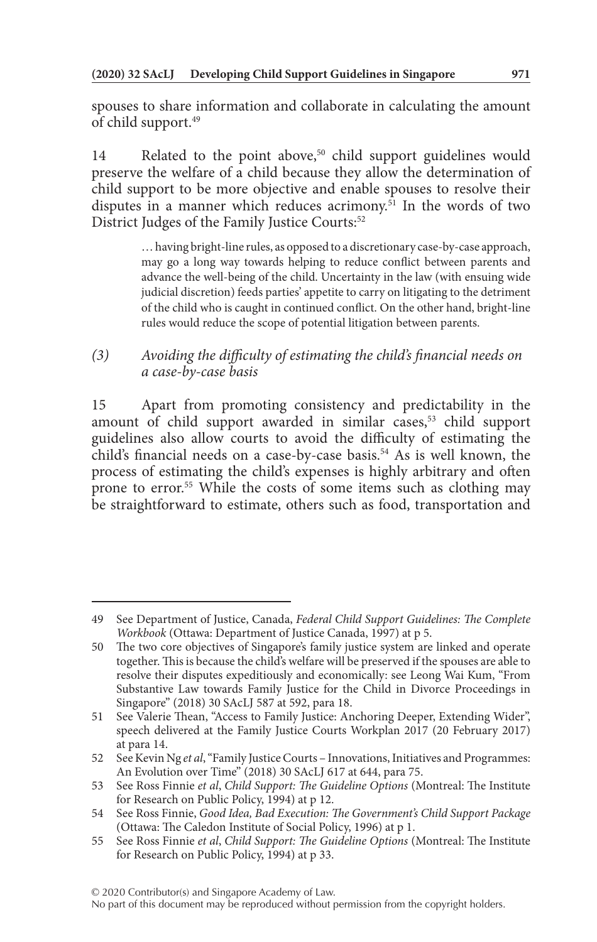spouses to share information and collaborate in calculating the amount of child support.<sup>49</sup>

14 Related to the point above,<sup>50</sup> child support guidelines would preserve the welfare of a child because they allow the determination of child support to be more objective and enable spouses to resolve their disputes in a manner which reduces acrimony.51 In the words of two District Judges of the Family Justice Courts:<sup>52</sup>

> … having bright-line rules, as opposed to a discretionary case-by-case approach, may go a long way towards helping to reduce conflict between parents and advance the well-being of the child. Uncertainty in the law (with ensuing wide judicial discretion) feeds parties' appetite to carry on litigating to the detriment of the child who is caught in continued conflict. On the other hand, bright-line rules would reduce the scope of potential litigation between parents.

## *(3) Avoiding the difficulty of estimating the child's financial needs on a case-by-case basis*

15 Apart from promoting consistency and predictability in the amount of child support awarded in similar cases,<sup>53</sup> child support guidelines also allow courts to avoid the difficulty of estimating the child's financial needs on a case-by-case basis.<sup>54</sup> As is well known, the process of estimating the child's expenses is highly arbitrary and often prone to error.55 While the costs of some items such as clothing may be straightforward to estimate, others such as food, transportation and

```
No part of this document may be reproduced without permission from the copyright holders.
```
<sup>49</sup> See Department of Justice, Canada, *Federal Child Support Guidelines: The Complete Workbook* (Ottawa: Department of Justice Canada, 1997) at p 5.

<sup>50</sup> The two core objectives of Singapore's family justice system are linked and operate together. This is because the child's welfare will be preserved if the spouses are able to resolve their disputes expeditiously and economically: see Leong Wai Kum, "From Substantive Law towards Family Justice for the Child in Divorce Proceedings in Singapore" (2018) 30 SAcLJ 587 at 592, para 18.

<sup>51</sup> See Valerie Thean, "Access to Family Justice: Anchoring Deeper, Extending Wider", speech delivered at the Family Justice Courts Workplan 2017 (20 February 2017) at para 14.

<sup>52</sup> See Kevin Ng *et al*, "Family Justice Courts – Innovations, Initiatives and Programmes: An Evolution over Time" (2018) 30 SAcLJ 617 at 644, para 75.

<sup>53</sup> See Ross Finnie *et al*, *Child Support: The Guideline Options* (Montreal: The Institute for Research on Public Policy, 1994) at p 12.

<sup>54</sup> See Ross Finnie, *Good Idea, Bad Execution: The Government's Child Support Package* (Ottawa: The Caledon Institute of Social Policy, 1996) at p 1.

<sup>55</sup> See Ross Finnie *et al*, *Child Support: The Guideline Options* (Montreal: The Institute for Research on Public Policy, 1994) at p 33.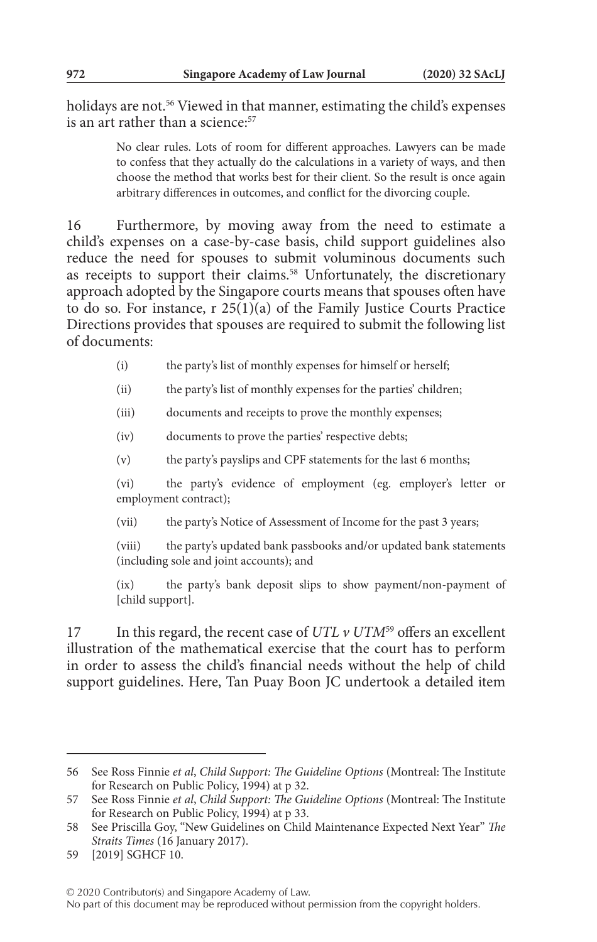holidays are not.<sup>56</sup> Viewed in that manner, estimating the child's expenses is an art rather than a science:<sup>57</sup>

> No clear rules. Lots of room for different approaches. Lawyers can be made to confess that they actually do the calculations in a variety of ways, and then choose the method that works best for their client. So the result is once again arbitrary differences in outcomes, and conflict for the divorcing couple.

16 Furthermore, by moving away from the need to estimate a child's expenses on a case-by-case basis, child support guidelines also reduce the need for spouses to submit voluminous documents such as receipts to support their claims.<sup>58</sup> Unfortunately, the discretionary approach adopted by the Singapore courts means that spouses often have to do so. For instance, r 25(1)(a) of the Family Justice Courts Practice Directions provides that spouses are required to submit the following list of documents:

- (i) the party's list of monthly expenses for himself or herself;
- (ii) the party's list of monthly expenses for the parties' children;
- (iii) documents and receipts to prove the monthly expenses;
- (iv) documents to prove the parties' respective debts;
- (v) the party's payslips and CPF statements for the last 6 months;

(vi) the party's evidence of employment (eg. employer's letter or employment contract);

(vii) the party's Notice of Assessment of Income for the past 3 years;

(viii) the party's updated bank passbooks and/or updated bank statements (including sole and joint accounts); and

(ix) the party's bank deposit slips to show payment/non-payment of [child support].

17 In this regard, the recent case of *UTL*  $\nu$  *UTM*<sup>59</sup> offers an excellent illustration of the mathematical exercise that the court has to perform in order to assess the child's financial needs without the help of child support guidelines. Here, Tan Puay Boon JC undertook a detailed item

<sup>56</sup> See Ross Finnie *et al*, *Child Support: The Guideline Options* (Montreal: The Institute for Research on Public Policy, 1994) at p 32.

<sup>57</sup> See Ross Finnie *et al*, *Child Support: The Guideline Options* (Montreal: The Institute for Research on Public Policy, 1994) at p 33.

<sup>58</sup> See Priscilla Goy, "New Guidelines on Child Maintenance Expected Next Year" *The Straits Times* (16 January 2017).

<sup>59</sup> [2019] SGHCF 10.

No part of this document may be reproduced without permission from the copyright holders.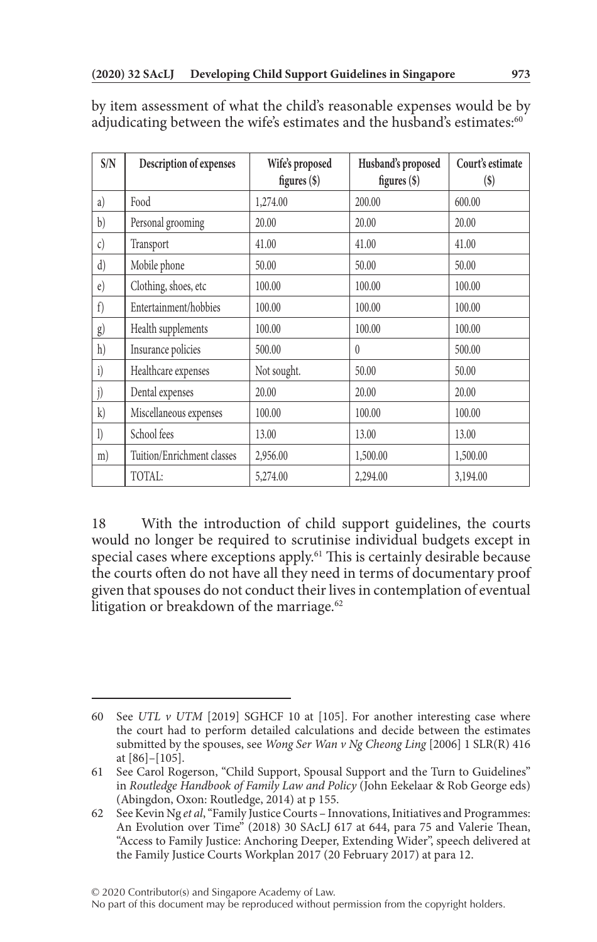| S/N              | Description of expenses    | Wife's proposed<br>figures (\$) | Husband's proposed<br>figures (\$) | Court's estimate<br>$(\$)$ |
|------------------|----------------------------|---------------------------------|------------------------------------|----------------------------|
| a)               | Food                       | 1,274.00                        | 200.00                             | 600.00                     |
| b)               | Personal grooming          | 20.00                           | 20.00                              | 20.00                      |
| $\mathcal{C}$    | Transport                  | 41.00                           | 41.00                              | 41.00                      |
| d)               | Mobile phone               | 50.00                           | 50.00                              | 50.00                      |
| $\epsilon$       | Clothing, shoes, etc       | 100.00                          | 100.00                             | 100.00                     |
| f)               | Entertainment/hobbies      | 100.00                          | 100.00                             | 100.00                     |
| g)               | Health supplements         | 100.00                          | 100.00                             | 100.00                     |
| h)               | Insurance policies         | 500.00                          | $\theta$                           | 500.00                     |
| i)               | Healthcare expenses        | Not sought.                     | 50.00                              | 50.00                      |
| j)               | Dental expenses            | 20.00                           | 20.00                              | 20.00                      |
| k)               | Miscellaneous expenses     | 100.00                          | 100.00                             | 100.00                     |
| $\left  \right)$ | School fees                | 13.00                           | 13.00                              | 13.00                      |
| m)               | Tuition/Enrichment classes | 2,956.00                        | 1,500.00                           | 1,500.00                   |
|                  | TOTAL:                     | 5,274.00                        | 2,294.00                           | 3,194.00                   |

by item assessment of what the child's reasonable expenses would be by adjudicating between the wife's estimates and the husband's estimates:<sup>60</sup>

18 With the introduction of child support guidelines, the courts would no longer be required to scrutinise individual budgets except in special cases where exceptions apply.<sup>61</sup> This is certainly desirable because the courts often do not have all they need in terms of documentary proof given that spouses do not conduct their lives in contemplation of eventual litigation or breakdown of the marriage. $62$ 

No part of this document may be reproduced without permission from the copyright holders.

<sup>60</sup> See *UTL v UTM* [2019] SGHCF 10 at [105]. For another interesting case where the court had to perform detailed calculations and decide between the estimates submitted by the spouses, see *Wong Ser Wan v Ng Cheong Ling* [2006] 1 SLR(R) 416 at [86]–[105].

<sup>61</sup> See Carol Rogerson, "Child Support, Spousal Support and the Turn to Guidelines" in *Routledge Handbook of Family Law and Policy* (John Eekelaar & Rob George eds) (Abingdon, Oxon: Routledge, 2014) at p 155.

<sup>62</sup> See Kevin Ng *et al*, "Family Justice Courts – Innovations, Initiatives and Programmes: An Evolution over Time" (2018) 30 SAcLJ 617 at 644, para 75 and Valerie Thean, "Access to Family Justice: Anchoring Deeper, Extending Wider", speech delivered at the Family Justice Courts Workplan 2017 (20 February 2017) at para 12.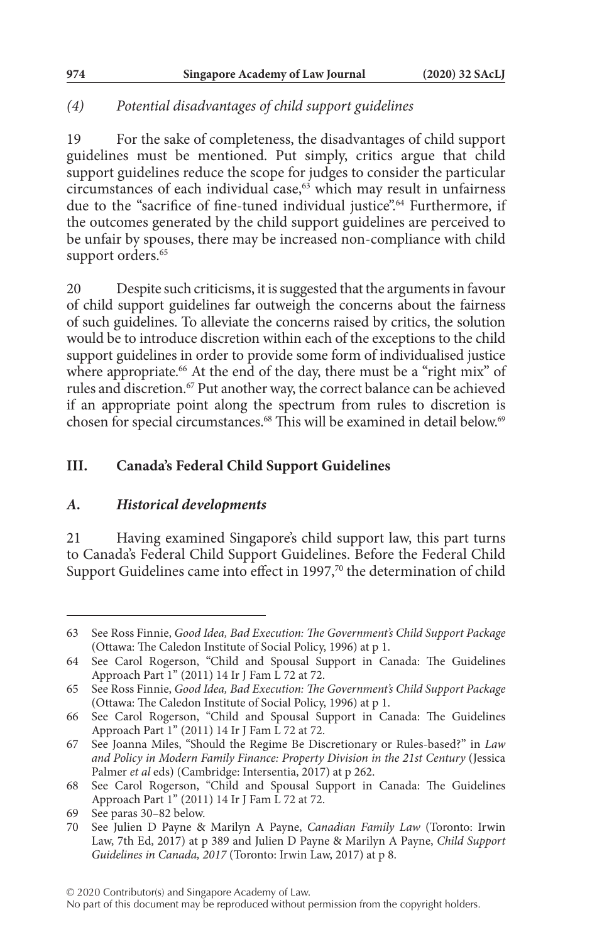## *(4) Potential disadvantages of child support guidelines*

19 For the sake of completeness, the disadvantages of child support guidelines must be mentioned. Put simply, critics argue that child support guidelines reduce the scope for judges to consider the particular circumstances of each individual case, $63$  which may result in unfairness due to the "sacrifice of fine-tuned individual justice".<sup>64</sup> Furthermore, if the outcomes generated by the child support guidelines are perceived to be unfair by spouses, there may be increased non-compliance with child support orders.<sup>65</sup>

20 Despite such criticisms, it is suggested that the arguments in favour of child support guidelines far outweigh the concerns about the fairness of such guidelines. To alleviate the concerns raised by critics, the solution would be to introduce discretion within each of the exceptions to the child support guidelines in order to provide some form of individualised justice where appropriate.<sup>66</sup> At the end of the day, there must be a "right mix" of rules and discretion.67 Put another way, the correct balance can be achieved if an appropriate point along the spectrum from rules to discretion is chosen for special circumstances.<sup>68</sup> This will be examined in detail below.<sup>69</sup>

## **III. Canada's Federal Child Support Guidelines**

### *A. Historical developments*

21 Having examined Singapore's child support law, this part turns to Canada's Federal Child Support Guidelines. Before the Federal Child Support Guidelines came into effect in 1997, $70$  the determination of child

<sup>63</sup> See Ross Finnie, *Good Idea, Bad Execution: The Government's Child Support Package* (Ottawa: The Caledon Institute of Social Policy, 1996) at p 1.

<sup>64</sup> See Carol Rogerson, "Child and Spousal Support in Canada: The Guidelines Approach Part 1" (2011) 14 Ir J Fam L 72 at 72.

<sup>65</sup> See Ross Finnie, *Good Idea, Bad Execution: The Government's Child Support Package* (Ottawa: The Caledon Institute of Social Policy, 1996) at p 1.

<sup>66</sup> See Carol Rogerson, "Child and Spousal Support in Canada: The Guidelines Approach Part 1" (2011) 14 Ir J Fam L 72 at 72.

<sup>67</sup> See Joanna Miles, "Should the Regime Be Discretionary or Rules-based?" in *Law and Policy in Modern Family Finance: Property Division in the 21st Century* (Jessica Palmer *et al* eds) (Cambridge: Intersentia, 2017) at p 262.

<sup>68</sup> See Carol Rogerson, "Child and Spousal Support in Canada: The Guidelines Approach Part 1" (2011) 14 Ir J Fam L 72 at 72.

<sup>69</sup> See paras 30–82 below.

<sup>70</sup> See Julien D Payne & Marilyn A Payne, *Canadian Family Law* (Toronto: Irwin Law, 7th Ed, 2017) at p 389 and Julien D Payne & Marilyn A Payne, *Child Support Guidelines in Canada, 2017* (Toronto: Irwin Law, 2017) at p 8.

No part of this document may be reproduced without permission from the copyright holders.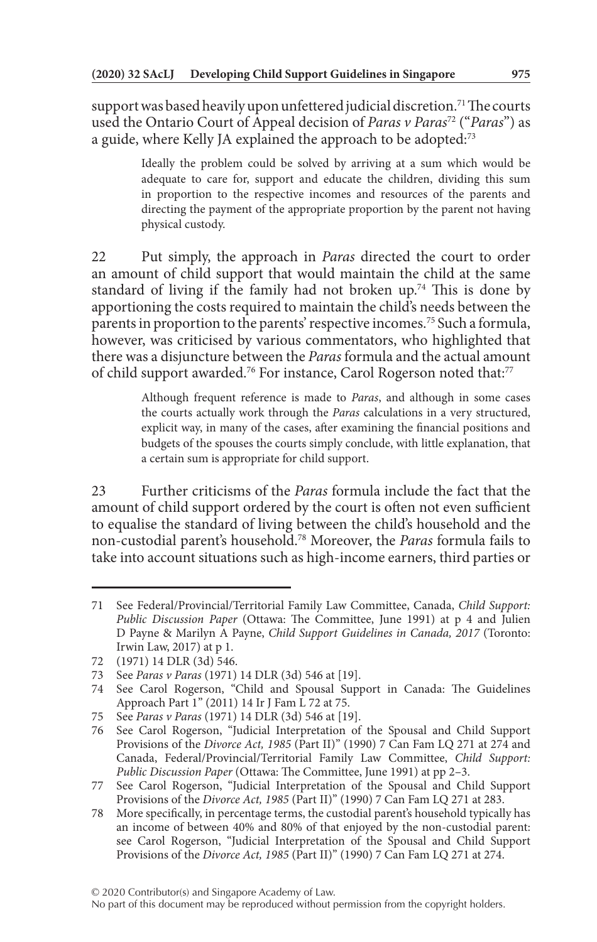support was based heavily upon unfettered judicial discretion.<sup>71</sup> The courts used the Ontario Court of Appeal decision of *Paras v Paras*72 ("*Paras*") as a guide, where Kelly JA explained the approach to be adopted:<sup>73</sup>

> Ideally the problem could be solved by arriving at a sum which would be adequate to care for, support and educate the children, dividing this sum in proportion to the respective incomes and resources of the parents and directing the payment of the appropriate proportion by the parent not having physical custody.

22 Put simply, the approach in *Paras* directed the court to order an amount of child support that would maintain the child at the same standard of living if the family had not broken up.<sup>74</sup> This is done by apportioning the costs required to maintain the child's needs between the parents in proportion to the parents' respective incomes.75 Such a formula, however, was criticised by various commentators, who highlighted that there was a disjuncture between the *Paras* formula and the actual amount of child support awarded.<sup>76</sup> For instance, Carol Rogerson noted that:<sup>77</sup>

> Although frequent reference is made to *Paras*, and although in some cases the courts actually work through the *Paras* calculations in a very structured, explicit way, in many of the cases, after examining the financial positions and budgets of the spouses the courts simply conclude, with little explanation, that a certain sum is appropriate for child support.

23 Further criticisms of the *Paras* formula include the fact that the amount of child support ordered by the court is often not even sufficient to equalise the standard of living between the child's household and the non-custodial parent's household.78 Moreover, the *Paras* formula fails to take into account situations such as high-income earners, third parties or

<sup>71</sup> See Federal/Provincial/Territorial Family Law Committee, Canada, *Child Support: Public Discussion Paper* (Ottawa: The Committee, June 1991) at p 4 and Julien D Payne & Marilyn A Payne, *Child Support Guidelines in Canada, 2017* (Toronto: Irwin Law, 2017) at p 1.

<sup>72</sup> (1971) 14 DLR (3d) 546.

<sup>73</sup> See *Paras v Paras* (1971) 14 DLR (3d) 546 at [19].

<sup>74</sup> See Carol Rogerson, "Child and Spousal Support in Canada: The Guidelines Approach Part 1" (2011) 14 Ir J Fam L 72 at 75.

<sup>75</sup> See *Paras v Paras* (1971) 14 DLR (3d) 546 at [19].

<sup>76</sup> See Carol Rogerson, "Judicial Interpretation of the Spousal and Child Support Provisions of the *Divorce Act, 1985* (Part II)" (1990) 7 Can Fam LQ 271 at 274 and Canada, Federal/Provincial/Territorial Family Law Committee, *Child Support: Public Discussion Paper* (Ottawa: The Committee, June 1991) at pp 2–3.

<sup>77</sup> See Carol Rogerson, "Judicial Interpretation of the Spousal and Child Support Provisions of the *Divorce Act, 1985* (Part II)" (1990) 7 Can Fam LQ 271 at 283.

<sup>78</sup> More specifically, in percentage terms, the custodial parent's household typically has an income of between 40% and 80% of that enjoyed by the non-custodial parent: see Carol Rogerson, "Judicial Interpretation of the Spousal and Child Support Provisions of the *Divorce Act, 1985* (Part II)" (1990) 7 Can Fam LQ 271 at 274.

No part of this document may be reproduced without permission from the copyright holders.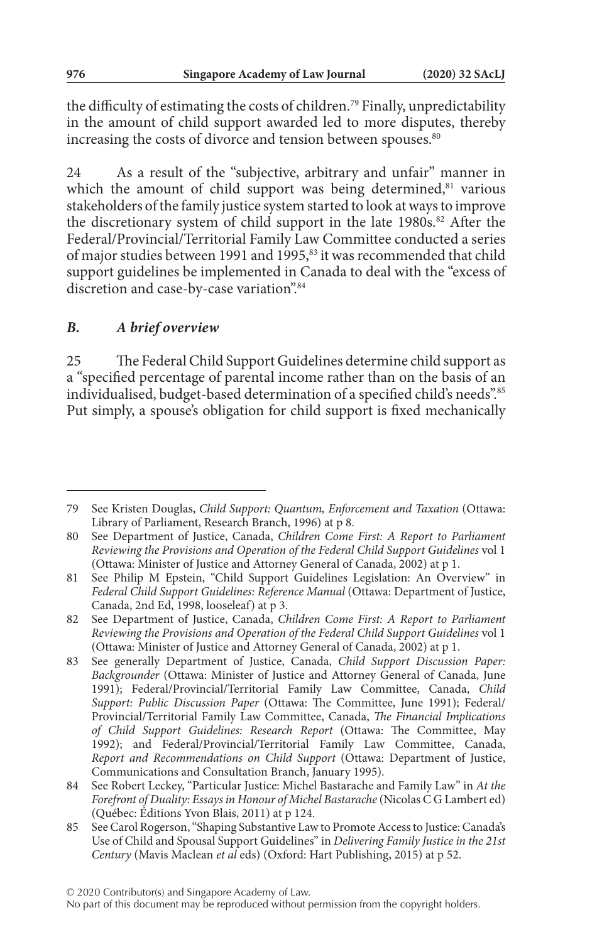the difficulty of estimating the costs of children.<sup>79</sup> Finally, unpredictability in the amount of child support awarded led to more disputes, thereby increasing the costs of divorce and tension between spouses.<sup>80</sup>

24 As a result of the "subjective, arbitrary and unfair" manner in which the amount of child support was being determined,<sup>81</sup> various stakeholders of the family justice system started to look at ways to improve the discretionary system of child support in the late 1980s.<sup>82</sup> After the Federal/Provincial/Territorial Family Law Committee conducted a series of major studies between 1991 and 1995,<sup>83</sup> it was recommended that child support guidelines be implemented in Canada to deal with the "excess of discretion and case-by-case variation".84

### *B. A brief overview*

25 The Federal Child Support Guidelines determine child support as a "specified percentage of parental income rather than on the basis of an individualised, budget-based determination of a specified child's needs".<sup>85</sup> Put simply, a spouse's obligation for child support is fixed mechanically

<sup>79</sup> See Kristen Douglas, *Child Support: Quantum, Enforcement and Taxation* (Ottawa: Library of Parliament, Research Branch, 1996) at p 8.

<sup>80</sup> See Department of Justice, Canada, *Children Come First: A Report to Parliament Reviewing the Provisions and Operation of the Federal Child Support Guidelines* vol 1 (Ottawa: Minister of Justice and Attorney General of Canada, 2002) at p 1.

<sup>81</sup> See Philip M Epstein, "Child Support Guidelines Legislation: An Overview" in *Federal Child Support Guidelines: Reference Manual* (Ottawa: Department of Justice, Canada, 2nd Ed, 1998, looseleaf) at p 3.

<sup>82</sup> See Department of Justice, Canada, *Children Come First: A Report to Parliament Reviewing the Provisions and Operation of the Federal Child Support Guidelines* vol 1 (Ottawa: Minister of Justice and Attorney General of Canada, 2002) at p 1.

<sup>83</sup> See generally Department of Justice, Canada, *Child Support Discussion Paper: Backgrounder* (Ottawa: Minister of Justice and Attorney General of Canada, June 1991); Federal/Provincial/Territorial Family Law Committee, Canada, *Child Support: Public Discussion Paper* (Ottawa: The Committee, June 1991); Federal/ Provincial/Territorial Family Law Committee, Canada, *The Financial Implications of Child Support Guidelines: Research Report* (Ottawa: The Committee, May 1992); and Federal/Provincial/Territorial Family Law Committee, Canada, *Report and Recommendations on Child Support* (Ottawa: Department of Justice, Communications and Consultation Branch, January 1995).

<sup>84</sup> See Robert Leckey, "Particular Justice: Michel Bastarache and Family Law" in *At the Forefront of Duality: Essays in Honour of Michel Bastarache* (Nicolas C G Lambert ed) (Québec: Éditions Yvon Blais, 2011) at p 124.

<sup>85</sup> See Carol Rogerson, "Shaping Substantive Law to Promote Access to Justice: Canada's Use of Child and Spousal Support Guidelines" in *Delivering Family Justice in the 21st Century* (Mavis Maclean *et al* eds) (Oxford: Hart Publishing, 2015) at p 52.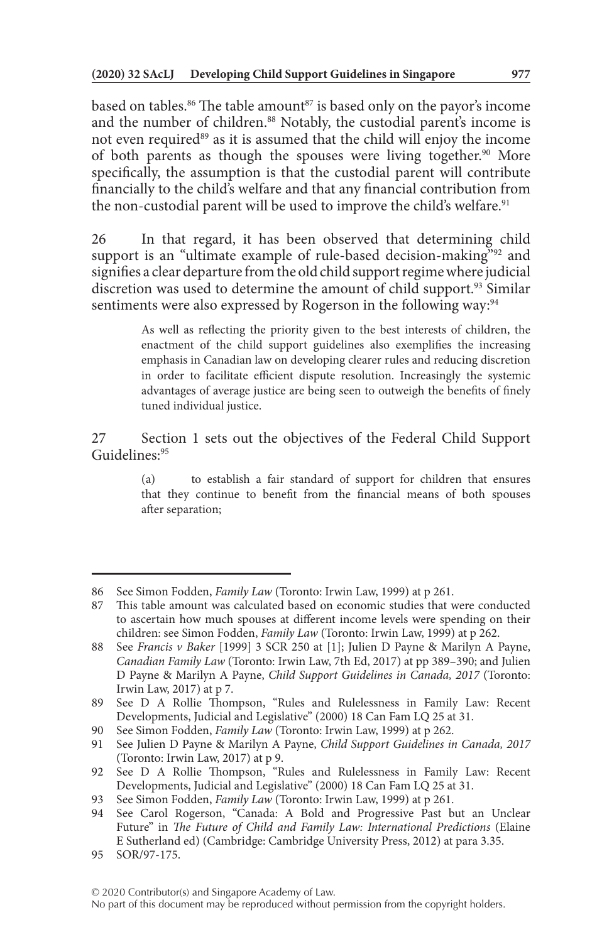based on tables.<sup>86</sup> The table amount<sup>87</sup> is based only on the payor's income and the number of children.<sup>88</sup> Notably, the custodial parent's income is not even required<sup>89</sup> as it is assumed that the child will enjoy the income of both parents as though the spouses were living together.<sup>90</sup> More specifically, the assumption is that the custodial parent will contribute financially to the child's welfare and that any financial contribution from the non-custodial parent will be used to improve the child's welfare.<sup>91</sup>

26 In that regard, it has been observed that determining child support is an "ultimate example of rule-based decision-making"<sup>92</sup> and signifies a clear departure from the old child support regime where judicial discretion was used to determine the amount of child support.<sup>93</sup> Similar sentiments were also expressed by Rogerson in the following way:<sup>94</sup>

> As well as reflecting the priority given to the best interests of children, the enactment of the child support guidelines also exemplifies the increasing emphasis in Canadian law on developing clearer rules and reducing discretion in order to facilitate efficient dispute resolution. Increasingly the systemic advantages of average justice are being seen to outweigh the benefits of finely tuned individual justice.

27 Section 1 sets out the objectives of the Federal Child Support Guidelines:95

> (a) to establish a fair standard of support for children that ensures that they continue to benefit from the financial means of both spouses after separation;

<sup>86</sup> See Simon Fodden, *Family Law* (Toronto: Irwin Law, 1999) at p 261.

<sup>87</sup> This table amount was calculated based on economic studies that were conducted to ascertain how much spouses at different income levels were spending on their children: see Simon Fodden, *Family Law* (Toronto: Irwin Law, 1999) at p 262.

<sup>88</sup> See *Francis v Baker* [1999] 3 SCR 250 at [1]; Julien D Payne & Marilyn A Payne, *Canadian Family Law* (Toronto: Irwin Law, 7th Ed, 2017) at pp 389–390; and Julien D Payne & Marilyn A Payne, *Child Support Guidelines in Canada, 2017* (Toronto: Irwin Law, 2017) at p 7.

<sup>89</sup> See D A Rollie Thompson, "Rules and Rulelessness in Family Law: Recent Developments, Judicial and Legislative" (2000) 18 Can Fam LQ 25 at 31.

<sup>90</sup> See Simon Fodden, *Family Law* (Toronto: Irwin Law, 1999) at p 262.

<sup>91</sup> See Julien D Payne & Marilyn A Payne, *Child Support Guidelines in Canada, 2017* (Toronto: Irwin Law, 2017) at p 9.

<sup>92</sup> See D A Rollie Thompson, "Rules and Rulelessness in Family Law: Recent Developments, Judicial and Legislative" (2000) 18 Can Fam LQ 25 at 31.

<sup>93</sup> See Simon Fodden, *Family Law* (Toronto: Irwin Law, 1999) at p 261.

<sup>94</sup> See Carol Rogerson, "Canada: A Bold and Progressive Past but an Unclear Future" in *The Future of Child and Family Law: International Predictions* (Elaine E Sutherland ed) (Cambridge: Cambridge University Press, 2012) at para 3.35.

<sup>95</sup> SOR/97-175.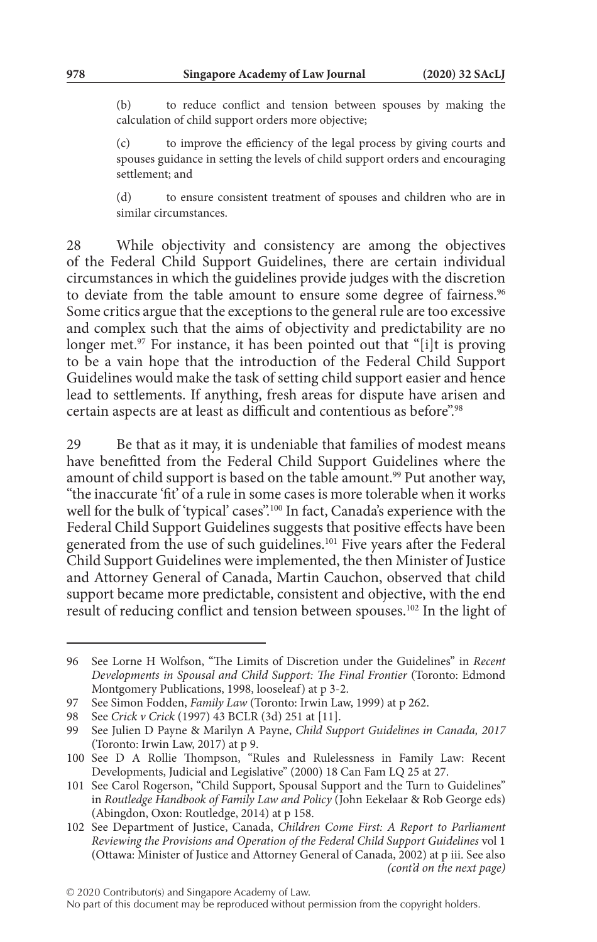(b) to reduce conflict and tension between spouses by making the calculation of child support orders more objective;

(c) to improve the efficiency of the legal process by giving courts and spouses guidance in setting the levels of child support orders and encouraging settlement; and

(d) to ensure consistent treatment of spouses and children who are in similar circumstances.

28 While objectivity and consistency are among the objectives of the Federal Child Support Guidelines, there are certain individual circumstances in which the guidelines provide judges with the discretion to deviate from the table amount to ensure some degree of fairness.<sup>96</sup> Some critics argue that the exceptions to the general rule are too excessive and complex such that the aims of objectivity and predictability are no longer met.<sup>97</sup> For instance, it has been pointed out that "[i]t is proving to be a vain hope that the introduction of the Federal Child Support Guidelines would make the task of setting child support easier and hence lead to settlements. If anything, fresh areas for dispute have arisen and certain aspects are at least as difficult and contentious as before".<sup>98</sup>

29 Be that as it may, it is undeniable that families of modest means have benefitted from the Federal Child Support Guidelines where the amount of child support is based on the table amount.<sup>99</sup> Put another way, "the inaccurate 'fit' of a rule in some cases is more tolerable when it works well for the bulk of 'typical' cases".<sup>100</sup> In fact, Canada's experience with the Federal Child Support Guidelines suggests that positive effects have been generated from the use of such guidelines.<sup>101</sup> Five years after the Federal Child Support Guidelines were implemented, the then Minister of Justice and Attorney General of Canada, Martin Cauchon, observed that child support became more predictable, consistent and objective, with the end result of reducing conflict and tension between spouses.<sup>102</sup> In the light of

<sup>96</sup> See Lorne H Wolfson, "The Limits of Discretion under the Guidelines" in *Recent Developments in Spousal and Child Support: The Final Frontier* (Toronto: Edmond Montgomery Publications, 1998, looseleaf) at p 3-2.

<sup>97</sup> See Simon Fodden, *Family Law* (Toronto: Irwin Law, 1999) at p 262.

<sup>98</sup> See *Crick v Crick* (1997) 43 BCLR (3d) 251 at [11].

<sup>99</sup> See Julien D Payne & Marilyn A Payne, *Child Support Guidelines in Canada, 2017* (Toronto: Irwin Law, 2017) at p 9.

<sup>100</sup> See D A Rollie Thompson, "Rules and Rulelessness in Family Law: Recent Developments, Judicial and Legislative" (2000) 18 Can Fam LQ 25 at 27.

<sup>101</sup> See Carol Rogerson, "Child Support, Spousal Support and the Turn to Guidelines" in *Routledge Handbook of Family Law and Policy* (John Eekelaar & Rob George eds) (Abingdon, Oxon: Routledge, 2014) at p 158.

<sup>102</sup> See Department of Justice, Canada, *Children Come First: A Report to Parliament Reviewing the Provisions and Operation of the Federal Child Support Guidelines* vol 1 (Ottawa: Minister of Justice and Attorney General of Canada, 2002) at p iii. See also *(cont'd on the next page)*

No part of this document may be reproduced without permission from the copyright holders.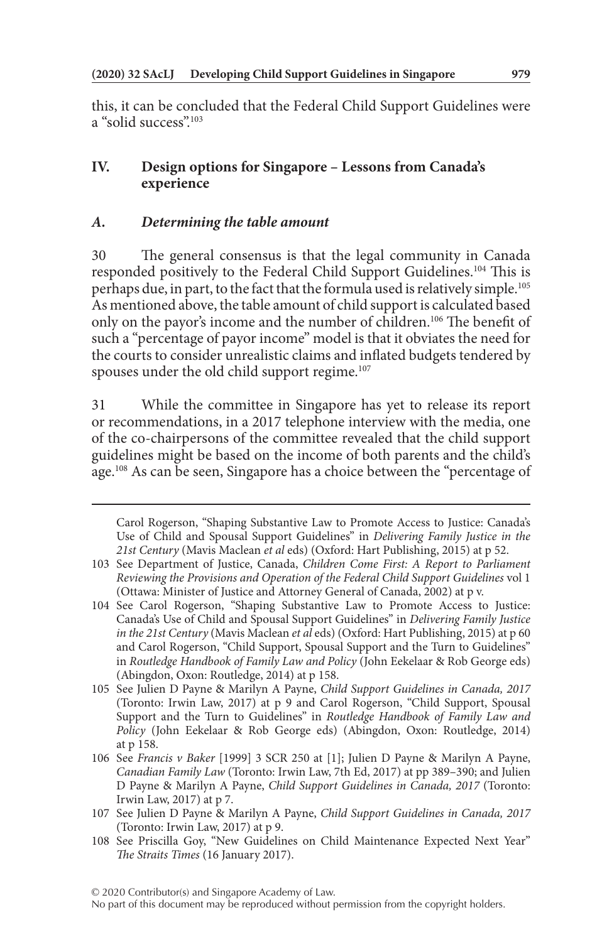this, it can be concluded that the Federal Child Support Guidelines were a "solid success".<sup>103</sup>

## **IV. Design options for Singapore – Lessons from Canada's experience**

### *A. Determining the table amount*

30 The general consensus is that the legal community in Canada responded positively to the Federal Child Support Guidelines.104 This is perhaps due, in part, to the fact that the formula used is relatively simple.105 As mentioned above, the table amount of child support is calculated based only on the payor's income and the number of children.106 The benefit of such a "percentage of payor income" model is that it obviates the need for the courts to consider unrealistic claims and inflated budgets tendered by spouses under the old child support regime.<sup>107</sup>

31 While the committee in Singapore has yet to release its report or recommendations, in a 2017 telephone interview with the media, one of the co-chairpersons of the committee revealed that the child support guidelines might be based on the income of both parents and the child's age.<sup>108</sup> As can be seen, Singapore has a choice between the "percentage of

Carol Rogerson, "Shaping Substantive Law to Promote Access to Justice: Canada's Use of Child and Spousal Support Guidelines" in *Delivering Family Justice in the 21st Century* (Mavis Maclean *et al* eds) (Oxford: Hart Publishing, 2015) at p 52.

<sup>103</sup> See Department of Justice, Canada, *Children Come First: A Report to Parliament Reviewing the Provisions and Operation of the Federal Child Support Guidelines* vol 1 (Ottawa: Minister of Justice and Attorney General of Canada, 2002) at p v.

<sup>104</sup> See Carol Rogerson, "Shaping Substantive Law to Promote Access to Justice: Canada's Use of Child and Spousal Support Guidelines" in *Delivering Family Justice in the 21st Century* (Mavis Maclean *et al* eds) (Oxford: Hart Publishing, 2015) at p 60 and Carol Rogerson, "Child Support, Spousal Support and the Turn to Guidelines" in *Routledge Handbook of Family Law and Policy* (John Eekelaar & Rob George eds) (Abingdon, Oxon: Routledge, 2014) at p 158.

<sup>105</sup> See Julien D Payne & Marilyn A Payne, *Child Support Guidelines in Canada, 2017* (Toronto: Irwin Law, 2017) at p 9 and Carol Rogerson, "Child Support, Spousal Support and the Turn to Guidelines" in *Routledge Handbook of Family Law and Policy* (John Eekelaar & Rob George eds) (Abingdon, Oxon: Routledge, 2014) at p 158.

<sup>106</sup> See *Francis v Baker* [1999] 3 SCR 250 at [1]; Julien D Payne & Marilyn A Payne, *Canadian Family Law* (Toronto: Irwin Law, 7th Ed, 2017) at pp 389–390; and Julien D Payne & Marilyn A Payne, *Child Support Guidelines in Canada, 2017* (Toronto: Irwin Law, 2017) at p 7.

<sup>107</sup> See Julien D Payne & Marilyn A Payne, *Child Support Guidelines in Canada, 2017* (Toronto: Irwin Law, 2017) at p 9.

<sup>108</sup> See Priscilla Goy, "New Guidelines on Child Maintenance Expected Next Year" *The Straits Times* (16 January 2017).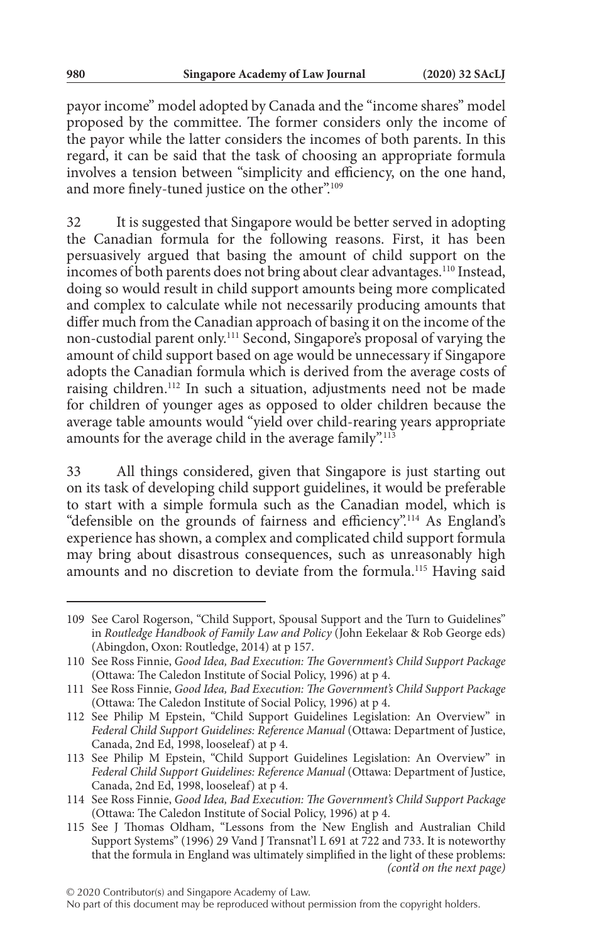payor income" model adopted by Canada and the "income shares" model proposed by the committee. The former considers only the income of the payor while the latter considers the incomes of both parents. In this regard, it can be said that the task of choosing an appropriate formula involves a tension between "simplicity and efficiency, on the one hand, and more finely-tuned justice on the other".<sup>109</sup>

32 It is suggested that Singapore would be better served in adopting the Canadian formula for the following reasons. First, it has been persuasively argued that basing the amount of child support on the incomes of both parents does not bring about clear advantages.<sup>110</sup> Instead, doing so would result in child support amounts being more complicated and complex to calculate while not necessarily producing amounts that differ much from the Canadian approach of basing it on the income of the non-custodial parent only.111 Second, Singapore's proposal of varying the amount of child support based on age would be unnecessary if Singapore adopts the Canadian formula which is derived from the average costs of raising children.112 In such a situation, adjustments need not be made for children of younger ages as opposed to older children because the average table amounts would "yield over child-rearing years appropriate amounts for the average child in the average family".113

33 All things considered, given that Singapore is just starting out on its task of developing child support guidelines, it would be preferable to start with a simple formula such as the Canadian model, which is "defensible on the grounds of fairness and efficiency".114 As England's experience has shown, a complex and complicated child support formula may bring about disastrous consequences, such as unreasonably high amounts and no discretion to deviate from the formula.115 Having said

<sup>109</sup> See Carol Rogerson, "Child Support, Spousal Support and the Turn to Guidelines" in *Routledge Handbook of Family Law and Policy* (John Eekelaar & Rob George eds) (Abingdon, Oxon: Routledge, 2014) at p 157.

<sup>110</sup> See Ross Finnie, *Good Idea, Bad Execution: The Government's Child Support Package* (Ottawa: The Caledon Institute of Social Policy, 1996) at p 4.

<sup>111</sup> See Ross Finnie, *Good Idea, Bad Execution: The Government's Child Support Package* (Ottawa: The Caledon Institute of Social Policy, 1996) at p 4.

<sup>112</sup> See Philip M Epstein, "Child Support Guidelines Legislation: An Overview" in *Federal Child Support Guidelines: Reference Manual* (Ottawa: Department of Justice, Canada, 2nd Ed, 1998, looseleaf) at p 4.

<sup>113</sup> See Philip M Epstein, "Child Support Guidelines Legislation: An Overview" in *Federal Child Support Guidelines: Reference Manual* (Ottawa: Department of Justice, Canada, 2nd Ed, 1998, looseleaf) at p 4.

<sup>114</sup> See Ross Finnie, *Good Idea, Bad Execution: The Government's Child Support Package* (Ottawa: The Caledon Institute of Social Policy, 1996) at p 4.

<sup>115</sup> See J Thomas Oldham, "Lessons from the New English and Australian Child Support Systems" (1996) 29 Vand J Transnat'l L 691 at 722 and 733. It is noteworthy that the formula in England was ultimately simplified in the light of these problems: *(cont'd on the next page)*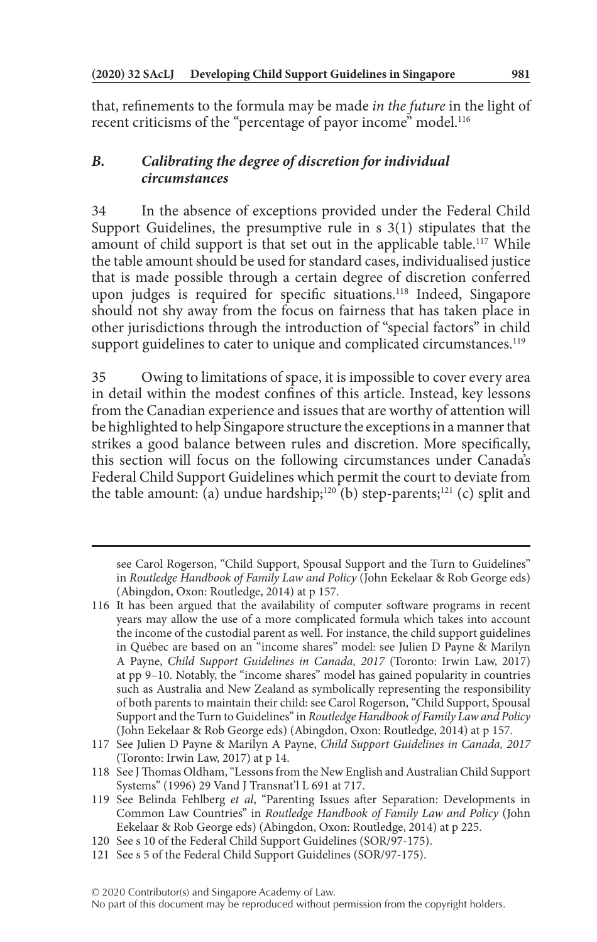that, refinements to the formula may be made *in the future* in the light of recent criticisms of the "percentage of payor income" model.<sup>116</sup>

## *B. Calibrating the degree of discretion for individual circumstances*

34 In the absence of exceptions provided under the Federal Child Support Guidelines, the presumptive rule in s 3(1) stipulates that the amount of child support is that set out in the applicable table.<sup>117</sup> While the table amount should be used for standard cases, individualised justice that is made possible through a certain degree of discretion conferred upon judges is required for specific situations.<sup>118</sup> Indeed, Singapore should not shy away from the focus on fairness that has taken place in other jurisdictions through the introduction of "special factors" in child support guidelines to cater to unique and complicated circumstances.<sup>119</sup>

35 Owing to limitations of space, it is impossible to cover every area in detail within the modest confines of this article. Instead, key lessons from the Canadian experience and issues that are worthy of attention will be highlighted to help Singapore structure the exceptions in a manner that strikes a good balance between rules and discretion. More specifically, this section will focus on the following circumstances under Canada's Federal Child Support Guidelines which permit the court to deviate from the table amount: (a) undue hardship;<sup>120</sup> (b) step-parents;<sup>121</sup> (c) split and

see Carol Rogerson, "Child Support, Spousal Support and the Turn to Guidelines" in *Routledge Handbook of Family Law and Policy* (John Eekelaar & Rob George eds) (Abingdon, Oxon: Routledge, 2014) at p 157.

<sup>116</sup> It has been argued that the availability of computer software programs in recent years may allow the use of a more complicated formula which takes into account the income of the custodial parent as well. For instance, the child support guidelines in Québec are based on an "income shares" model: see Julien D Payne & Marilyn A Payne, *Child Support Guidelines in Canada, 2017* (Toronto: Irwin Law, 2017) at pp 9–10. Notably, the "income shares" model has gained popularity in countries such as Australia and New Zealand as symbolically representing the responsibility of both parents to maintain their child: see Carol Rogerson, "Child Support, Spousal Support and the Turn to Guidelines" in *Routledge Handbook of Family Law and Policy* (John Eekelaar & Rob George eds) (Abingdon, Oxon: Routledge, 2014) at p 157.

<sup>117</sup> See Julien D Payne & Marilyn A Payne, *Child Support Guidelines in Canada, 2017* (Toronto: Irwin Law, 2017) at p 14.

<sup>118</sup> See J Thomas Oldham, "Lessons from the New English and Australian Child Support Systems" (1996) 29 Vand J Transnat'l L 691 at 717.

<sup>119</sup> See Belinda Fehlberg *et al*, "Parenting Issues after Separation: Developments in Common Law Countries" in *Routledge Handbook of Family Law and Policy* (John Eekelaar & Rob George eds) (Abingdon, Oxon: Routledge, 2014) at p 225.

<sup>120</sup> See s 10 of the Federal Child Support Guidelines (SOR/97-175).

<sup>121</sup> See s 5 of the Federal Child Support Guidelines (SOR/97-175).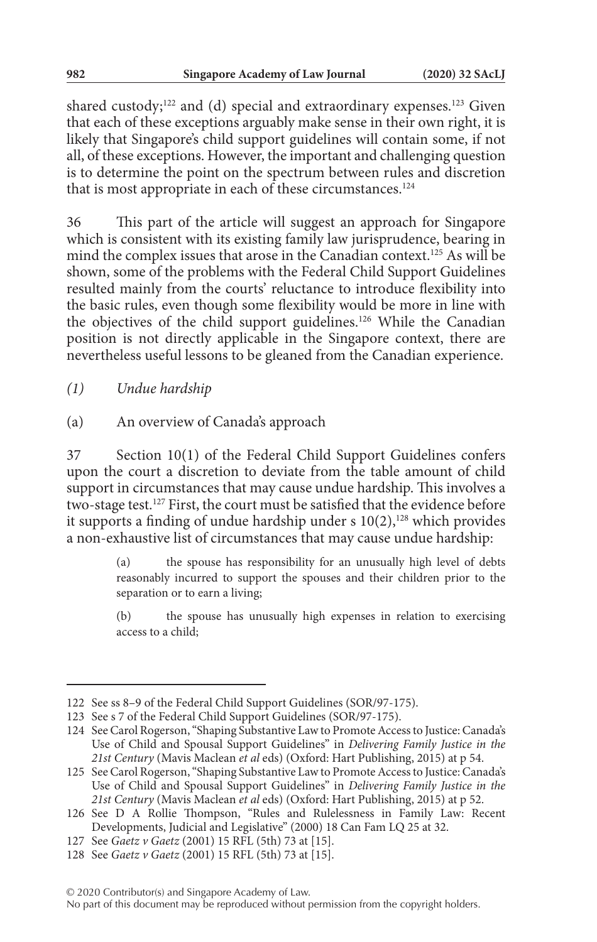shared custody;<sup>122</sup> and (d) special and extraordinary expenses.<sup>123</sup> Given that each of these exceptions arguably make sense in their own right, it is likely that Singapore's child support guidelines will contain some, if not all, of these exceptions. However, the important and challenging question is to determine the point on the spectrum between rules and discretion that is most appropriate in each of these circumstances.<sup>124</sup>

36 This part of the article will suggest an approach for Singapore which is consistent with its existing family law jurisprudence, bearing in mind the complex issues that arose in the Canadian context.125 As will be shown, some of the problems with the Federal Child Support Guidelines resulted mainly from the courts' reluctance to introduce flexibility into the basic rules, even though some flexibility would be more in line with the objectives of the child support guidelines.<sup>126</sup> While the Canadian position is not directly applicable in the Singapore context, there are nevertheless useful lessons to be gleaned from the Canadian experience.

*(1) Undue hardship*

(a) An overview of Canada's approach

37 Section 10(1) of the Federal Child Support Guidelines confers upon the court a discretion to deviate from the table amount of child support in circumstances that may cause undue hardship. This involves a two-stage test.127 First, the court must be satisfied that the evidence before it supports a finding of undue hardship under s  $10(2)$ ,<sup>128</sup> which provides a non-exhaustive list of circumstances that may cause undue hardship:

> (a) the spouse has responsibility for an unusually high level of debts reasonably incurred to support the spouses and their children prior to the separation or to earn a living;

> (b) the spouse has unusually high expenses in relation to exercising access to a child;

<sup>122</sup> See ss 8–9 of the Federal Child Support Guidelines (SOR/97-175).

<sup>123</sup> See s 7 of the Federal Child Support Guidelines (SOR/97-175).

<sup>124</sup> See Carol Rogerson, "Shaping Substantive Law to Promote Access to Justice: Canada's Use of Child and Spousal Support Guidelines" in *Delivering Family Justice in the 21st Century* (Mavis Maclean *et al* eds) (Oxford: Hart Publishing, 2015) at p 54.

<sup>125</sup> See Carol Rogerson, "Shaping Substantive Law to Promote Access to Justice: Canada's Use of Child and Spousal Support Guidelines" in *Delivering Family Justice in the 21st Century* (Mavis Maclean *et al* eds) (Oxford: Hart Publishing, 2015) at p 52.

<sup>126</sup> See D A Rollie Thompson, "Rules and Rulelessness in Family Law: Recent Developments, Judicial and Legislative" (2000) 18 Can Fam LQ 25 at 32.

<sup>127</sup> See *Gaetz v Gaetz* (2001) 15 RFL (5th) 73 at [15].

<sup>128</sup> See *Gaetz v Gaetz* (2001) 15 RFL (5th) 73 at [15].

No part of this document may be reproduced without permission from the copyright holders.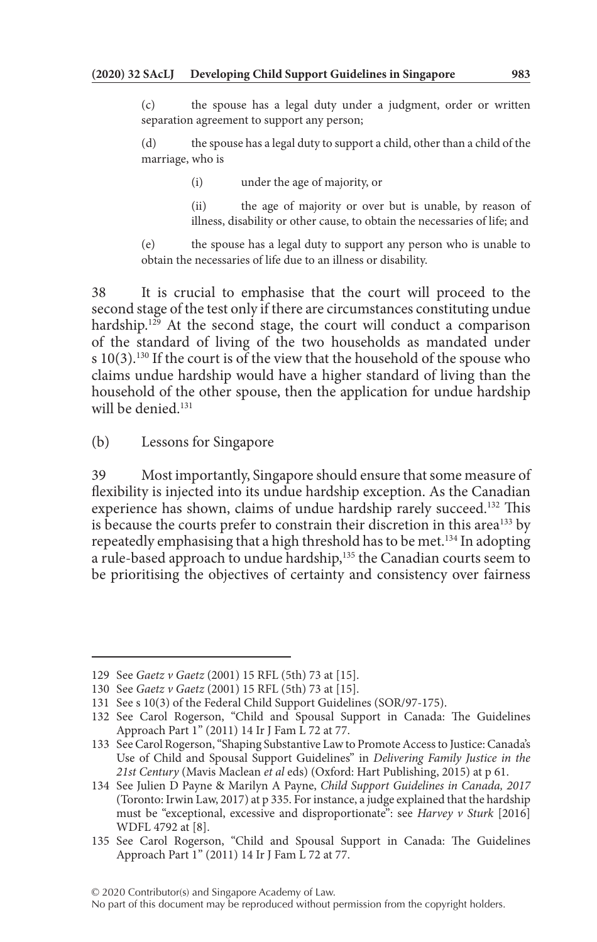(c) the spouse has a legal duty under a judgment, order or written separation agreement to support any person;

(d) the spouse has a legal duty to support a child, other than a child of the marriage, who is

(i) under the age of majority, or

(ii) the age of majority or over but is unable, by reason of illness, disability or other cause, to obtain the necessaries of life; and

(e) the spouse has a legal duty to support any person who is unable to obtain the necessaries of life due to an illness or disability.

38 It is crucial to emphasise that the court will proceed to the second stage of the test only if there are circumstances constituting undue hardship.<sup>129</sup> At the second stage, the court will conduct a comparison of the standard of living of the two households as mandated under s 10(3).<sup>130</sup> If the court is of the view that the household of the spouse who claims undue hardship would have a higher standard of living than the household of the other spouse, then the application for undue hardship will be denied.<sup>131</sup>

(b) Lessons for Singapore

39 Most importantly, Singapore should ensure that some measure of flexibility is injected into its undue hardship exception. As the Canadian experience has shown, claims of undue hardship rarely succeed.<sup>132</sup> This is because the courts prefer to constrain their discretion in this area<sup>133</sup> by repeatedly emphasising that a high threshold has to be met.<sup>134</sup> In adopting a rule-based approach to undue hardship,<sup>135</sup> the Canadian courts seem to be prioritising the objectives of certainty and consistency over fairness

<sup>129</sup> See *Gaetz v Gaetz* (2001) 15 RFL (5th) 73 at [15].

<sup>130</sup> See *Gaetz v Gaetz* (2001) 15 RFL (5th) 73 at [15].

<sup>131</sup> See s 10(3) of the Federal Child Support Guidelines (SOR/97-175).

<sup>132</sup> See Carol Rogerson, "Child and Spousal Support in Canada: The Guidelines Approach Part 1" (2011) 14 Ir J Fam L 72 at 77.

<sup>133</sup> See Carol Rogerson, "Shaping Substantive Law to Promote Access to Justice: Canada's Use of Child and Spousal Support Guidelines" in *Delivering Family Justice in the 21st Century* (Mavis Maclean *et al* eds) (Oxford: Hart Publishing, 2015) at p 61.

<sup>134</sup> See Julien D Payne & Marilyn A Payne, *Child Support Guidelines in Canada, 2017* (Toronto: Irwin Law, 2017) at p 335. For instance, a judge explained that the hardship must be "exceptional, excessive and disproportionate": see *Harvey v Sturk* [2016] WDFL 4792 at [8].

<sup>135</sup> See Carol Rogerson, "Child and Spousal Support in Canada: The Guidelines Approach Part 1" (2011) 14 Ir J Fam L 72 at 77.

No part of this document may be reproduced without permission from the copyright holders.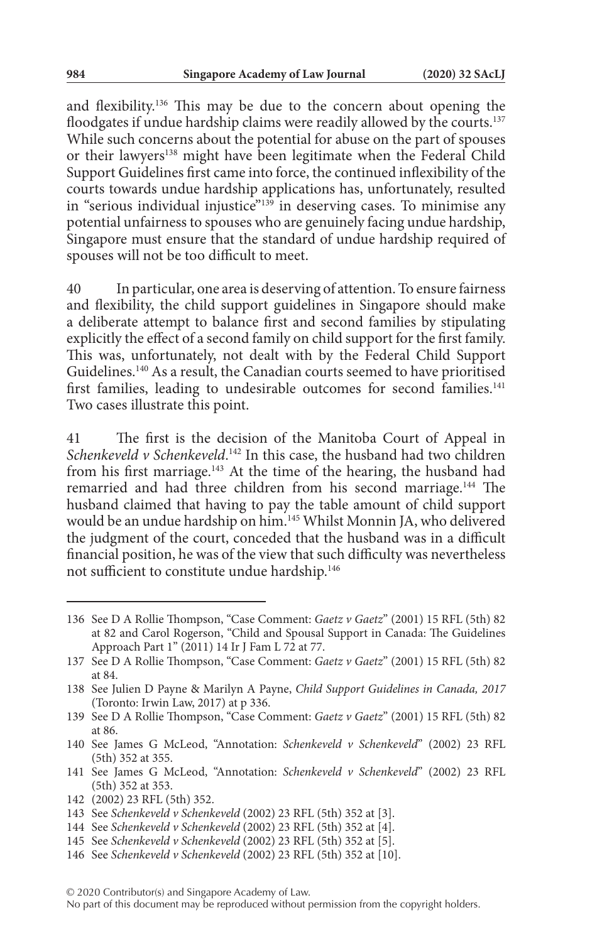and flexibility.136 This may be due to the concern about opening the floodgates if undue hardship claims were readily allowed by the courts.<sup>137</sup> While such concerns about the potential for abuse on the part of spouses or their lawyers<sup>138</sup> might have been legitimate when the Federal Child Support Guidelines first came into force, the continued inflexibility of the courts towards undue hardship applications has, unfortunately, resulted in "serious individual injustice"<sup>139</sup> in deserving cases. To minimise any potential unfairness to spouses who are genuinely facing undue hardship, Singapore must ensure that the standard of undue hardship required of spouses will not be too difficult to meet.

40 In particular, one area is deserving of attention. To ensure fairness and flexibility, the child support guidelines in Singapore should make a deliberate attempt to balance first and second families by stipulating explicitly the effect of a second family on child support for the first family. This was, unfortunately, not dealt with by the Federal Child Support Guidelines.140 As a result, the Canadian courts seemed to have prioritised first families, leading to undesirable outcomes for second families.<sup>141</sup> Two cases illustrate this point.

41 The first is the decision of the Manitoba Court of Appeal in *Schenkeveld v Schenkeveld*. 142 In this case, the husband had two children from his first marriage.143 At the time of the hearing, the husband had remarried and had three children from his second marriage.<sup>144</sup> The husband claimed that having to pay the table amount of child support would be an undue hardship on him.145 Whilst Monnin JA, who delivered the judgment of the court, conceded that the husband was in a difficult financial position, he was of the view that such difficulty was nevertheless not sufficient to constitute undue hardship.<sup>146</sup>

- 141 See James G McLeod, "Annotation: *Schenkeveld v Schenkeveld*" (2002) 23 RFL (5th) 352 at 353.
- 142 (2002) 23 RFL (5th) 352.
- 143 See *Schenkeveld v Schenkeveld* (2002) 23 RFL (5th) 352 at [3].
- 144 See *Schenkeveld v Schenkeveld* (2002) 23 RFL (5th) 352 at [4].
- 145 See *Schenkeveld v Schenkeveld* (2002) 23 RFL (5th) 352 at [5].
- 146 See *Schenkeveld v Schenkeveld* (2002) 23 RFL (5th) 352 at [10].
- © 2020 Contributor(s) and Singapore Academy of Law.

No part of this document may be reproduced without permission from the copyright holders.

<sup>136</sup> See D A Rollie Thompson, "Case Comment: *Gaetz v Gaetz*" (2001) 15 RFL (5th) 82 at 82 and Carol Rogerson, "Child and Spousal Support in Canada: The Guidelines Approach Part 1" (2011) 14 Ir J Fam L 72 at 77.

<sup>137</sup> See D A Rollie Thompson, "Case Comment: *Gaetz v Gaetz*" (2001) 15 RFL (5th) 82 at 84.

<sup>138</sup> See Julien D Payne & Marilyn A Payne, *Child Support Guidelines in Canada, 2017* (Toronto: Irwin Law, 2017) at p 336.

<sup>139</sup> See D A Rollie Thompson, "Case Comment: *Gaetz v Gaetz*" (2001) 15 RFL (5th) 82 at 86.

<sup>140</sup> See James G McLeod, "Annotation: *Schenkeveld v Schenkeveld*" (2002) 23 RFL (5th) 352 at 355.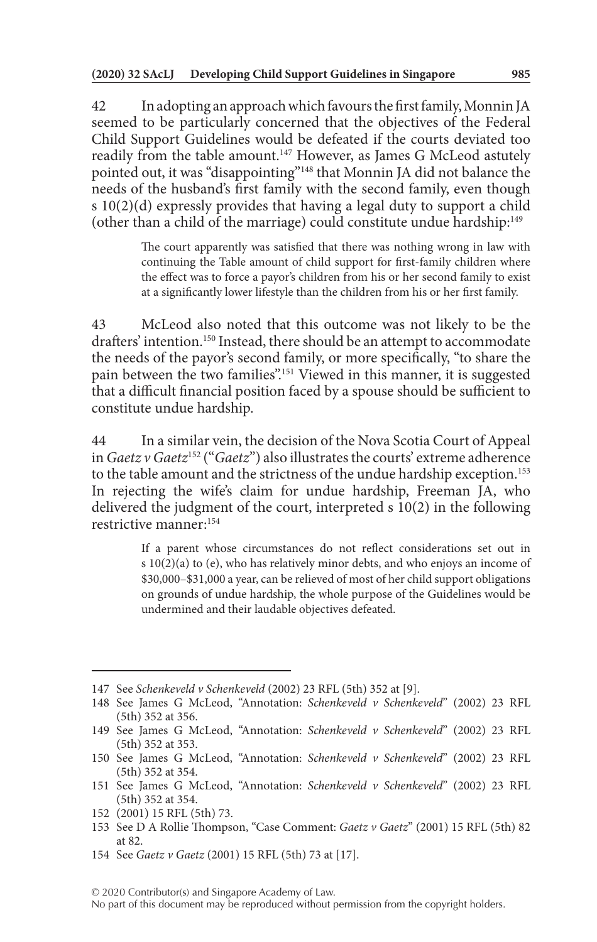42 In adopting an approach which favours the first family, Monnin JA seemed to be particularly concerned that the objectives of the Federal Child Support Guidelines would be defeated if the courts deviated too readily from the table amount.<sup>147</sup> However, as James G McLeod astutely pointed out, it was "disappointing"148 that Monnin JA did not balance the needs of the husband's first family with the second family, even though s 10(2)(d) expressly provides that having a legal duty to support a child (other than a child of the marriage) could constitute undue hardship:149

> The court apparently was satisfied that there was nothing wrong in law with continuing the Table amount of child support for first-family children where the effect was to force a payor's children from his or her second family to exist at a significantly lower lifestyle than the children from his or her first family.

43 McLeod also noted that this outcome was not likely to be the drafters' intention.<sup>150</sup> Instead, there should be an attempt to accommodate the needs of the payor's second family, or more specifically, "to share the pain between the two families".<sup>151</sup> Viewed in this manner, it is suggested that a difficult financial position faced by a spouse should be sufficient to constitute undue hardship.

44 In a similar vein, the decision of the Nova Scotia Court of Appeal in *Gaetz v Gaetz*152 ("*Gaetz*") also illustrates the courts' extreme adherence to the table amount and the strictness of the undue hardship exception.<sup>153</sup> In rejecting the wife's claim for undue hardship, Freeman JA, who delivered the judgment of the court, interpreted s 10(2) in the following restrictive manner:154

> If a parent whose circumstances do not reflect considerations set out in s 10(2)(a) to (e), who has relatively minor debts, and who enjoys an income of \$30,000–\$31,000 a year, can be relieved of most of her child support obligations on grounds of undue hardship, the whole purpose of the Guidelines would be undermined and their laudable objectives defeated.

<sup>147</sup> See *Schenkeveld v Schenkeveld* (2002) 23 RFL (5th) 352 at [9].

<sup>148</sup> See James G McLeod, "Annotation: *Schenkeveld v Schenkeveld*" (2002) 23 RFL (5th) 352 at 356.

<sup>149</sup> See James G McLeod, "Annotation: *Schenkeveld v Schenkeveld*" (2002) 23 RFL (5th) 352 at 353.

<sup>150</sup> See James G McLeod, "Annotation: *Schenkeveld v Schenkeveld*" (2002) 23 RFL (5th) 352 at 354.

<sup>151</sup> See James G McLeod, "Annotation: *Schenkeveld v Schenkeveld*" (2002) 23 RFL (5th) 352 at 354.

<sup>152</sup> (2001) 15 RFL (5th) 73.

<sup>153</sup> See D A Rollie Thompson, "Case Comment: *Gaetz v Gaetz*" (2001) 15 RFL (5th) 82 at 82.

<sup>154</sup> See *Gaetz v Gaetz* (2001) 15 RFL (5th) 73 at [17].

No part of this document may be reproduced without permission from the copyright holders.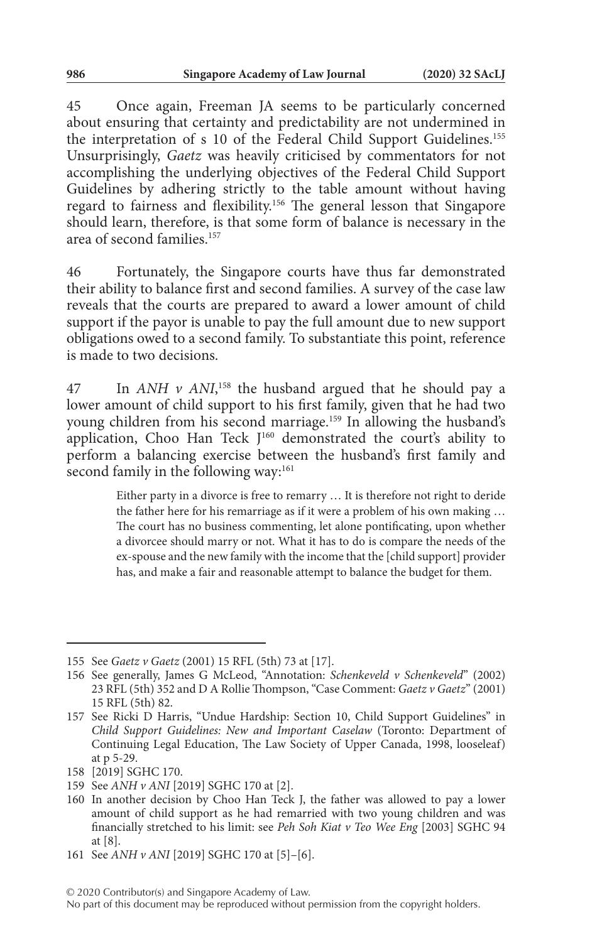45 Once again, Freeman JA seems to be particularly concerned about ensuring that certainty and predictability are not undermined in the interpretation of s 10 of the Federal Child Support Guidelines.155 Unsurprisingly, *Gaetz* was heavily criticised by commentators for not accomplishing the underlying objectives of the Federal Child Support Guidelines by adhering strictly to the table amount without having regard to fairness and flexibility.156 The general lesson that Singapore should learn, therefore, is that some form of balance is necessary in the area of second families<sup>157</sup>

46 Fortunately, the Singapore courts have thus far demonstrated their ability to balance first and second families. A survey of the case law reveals that the courts are prepared to award a lower amount of child support if the payor is unable to pay the full amount due to new support obligations owed to a second family. To substantiate this point, reference is made to two decisions.

47 In *ANH v ANI*, 158 the husband argued that he should pay a lower amount of child support to his first family, given that he had two young children from his second marriage.<sup>159</sup> In allowing the husband's application, Choo Han Teck J<sup>160</sup> demonstrated the court's ability to perform a balancing exercise between the husband's first family and second family in the following way:<sup>161</sup>

> Either party in a divorce is free to remarry … It is therefore not right to deride the father here for his remarriage as if it were a problem of his own making … The court has no business commenting, let alone pontificating, upon whether a divorcee should marry or not. What it has to do is compare the needs of the ex-spouse and the new family with the income that the [child support] provider has, and make a fair and reasonable attempt to balance the budget for them.

<sup>155</sup> See *Gaetz v Gaetz* (2001) 15 RFL (5th) 73 at [17].

<sup>156</sup> See generally, James G McLeod, "Annotation: *Schenkeveld v Schenkeveld*" (2002) 23 RFL (5th) 352 and D A Rollie Thompson, "Case Comment: *Gaetz v Gaetz*" (2001) 15 RFL (5th) 82.

<sup>157</sup> See Ricki D Harris, "Undue Hardship: Section 10, Child Support Guidelines" in *Child Support Guidelines: New and Important Caselaw* (Toronto: Department of Continuing Legal Education, The Law Society of Upper Canada, 1998, looseleaf) at p 5-29.

<sup>158</sup> [2019] SGHC 170.

<sup>159</sup> See *ANH v ANI* [2019] SGHC 170 at [2].

<sup>160</sup> In another decision by Choo Han Teck J, the father was allowed to pay a lower amount of child support as he had remarried with two young children and was financially stretched to his limit: see *Peh Soh Kiat v Teo Wee Eng* [2003] SGHC 94 at [8].

<sup>161</sup> See *ANH v ANI* [2019] SGHC 170 at [5]–[6].

No part of this document may be reproduced without permission from the copyright holders.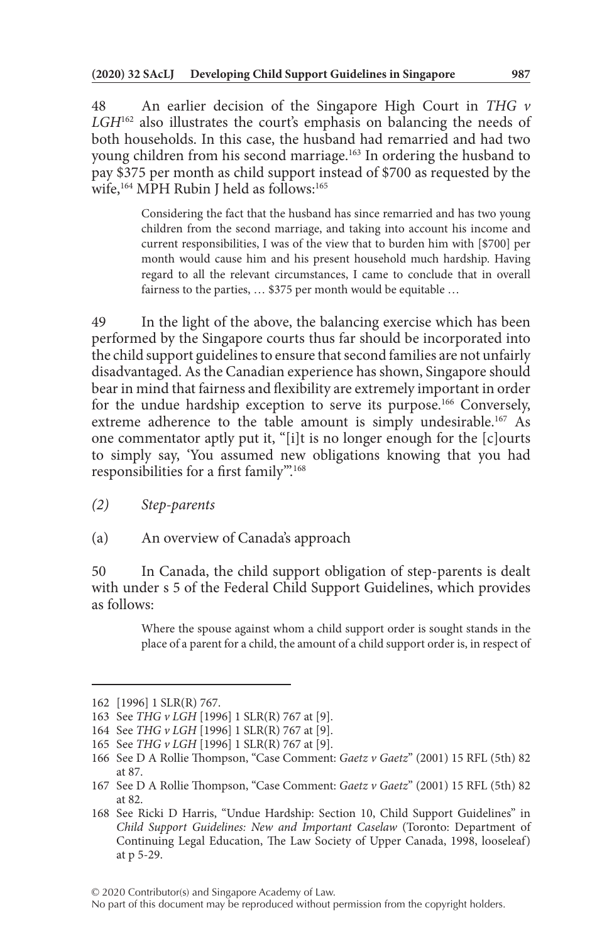48 An earlier decision of the Singapore High Court in *THG v*  LGH<sup>162</sup> also illustrates the court's emphasis on balancing the needs of both households. In this case, the husband had remarried and had two young children from his second marriage.<sup>163</sup> In ordering the husband to pay \$375 per month as child support instead of \$700 as requested by the wife,<sup>164</sup> MPH Rubin J held as follows:<sup>165</sup>

> Considering the fact that the husband has since remarried and has two young children from the second marriage, and taking into account his income and current responsibilities, I was of the view that to burden him with [\$700] per month would cause him and his present household much hardship. Having regard to all the relevant circumstances, I came to conclude that in overall fairness to the parties, … \$375 per month would be equitable …

49 In the light of the above, the balancing exercise which has been performed by the Singapore courts thus far should be incorporated into the child support guidelines to ensure that second families are not unfairly disadvantaged. As the Canadian experience has shown, Singapore should bear in mind that fairness and flexibility are extremely important in order for the undue hardship exception to serve its purpose.166 Conversely, extreme adherence to the table amount is simply undesirable.<sup>167</sup> As one commentator aptly put it, "[i]t is no longer enough for the [c]ourts to simply say, 'You assumed new obligations knowing that you had responsibilities for a first family'".168

- *(2) Step-parents*
- (a) An overview of Canada's approach

50 In Canada, the child support obligation of step-parents is dealt with under s 5 of the Federal Child Support Guidelines, which provides as follows:

> Where the spouse against whom a child support order is sought stands in the place of a parent for a child, the amount of a child support order is, in respect of

No part of this document may be reproduced without permission from the copyright holders.

<sup>162</sup> [1996] 1 SLR(R) 767.

<sup>163</sup> See *THG v LGH* [1996] 1 SLR(R) 767 at [9].

<sup>164</sup> See *THG v LGH* [1996] 1 SLR(R) 767 at [9].

<sup>165</sup> See *THG v LGH* [1996] 1 SLR(R) 767 at [9].

<sup>166</sup> See D A Rollie Thompson, "Case Comment: *Gaetz v Gaetz*" (2001) 15 RFL (5th) 82 at 87.

<sup>167</sup> See D A Rollie Thompson, "Case Comment: *Gaetz v Gaetz*" (2001) 15 RFL (5th) 82 at 82.

<sup>168</sup> See Ricki D Harris, "Undue Hardship: Section 10, Child Support Guidelines" in *Child Support Guidelines: New and Important Caselaw* (Toronto: Department of Continuing Legal Education, The Law Society of Upper Canada, 1998, looseleaf) at p 5-29.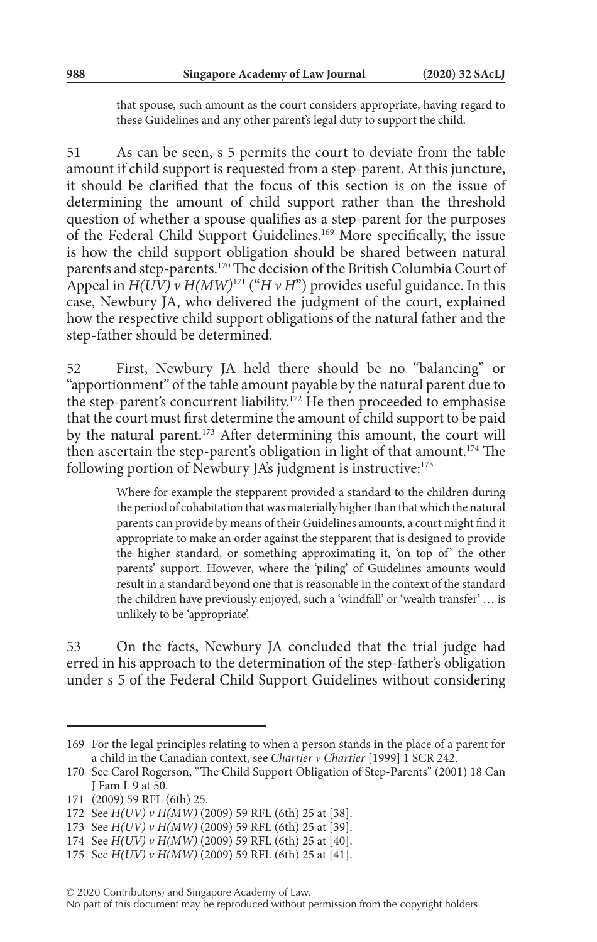that spouse, such amount as the court considers appropriate, having regard to these Guidelines and any other parent's legal duty to support the child.

51 As can be seen, s 5 permits the court to deviate from the table amount if child support is requested from a step-parent. At this juncture, it should be clarified that the focus of this section is on the issue of determining the amount of child support rather than the threshold question of whether a spouse qualifies as a step-parent for the purposes of the Federal Child Support Guidelines.169 More specifically, the issue is how the child support obligation should be shared between natural parents and step-parents.170 The decision of the British Columbia Court of Appeal in  $H(UV)$  v  $H(MW)^{171}$  ("*H v H*") provides useful guidance. In this case, Newbury JA, who delivered the judgment of the court, explained how the respective child support obligations of the natural father and the step-father should be determined.

52 First, Newbury JA held there should be no "balancing" or "apportionment" of the table amount payable by the natural parent due to the step-parent's concurrent liability.<sup>172</sup> He then proceeded to emphasise that the court must first determine the amount of child support to be paid by the natural parent.<sup>173</sup> After determining this amount, the court will then ascertain the step-parent's obligation in light of that amount.<sup>174</sup> The following portion of Newbury JA's judgment is instructive:<sup>175</sup>

> Where for example the stepparent provided a standard to the children during the period of cohabitation that was materially higher than that which the natural parents can provide by means of their Guidelines amounts, a court might find it appropriate to make an order against the stepparent that is designed to provide the higher standard, or something approximating it, 'on top of' the other parents' support. However, where the 'piling' of Guidelines amounts would result in a standard beyond one that is reasonable in the context of the standard the children have previously enjoyed, such a 'windfall' or 'wealth transfer' … is unlikely to be 'appropriate'.

53 On the facts, Newbury JA concluded that the trial judge had erred in his approach to the determination of the step-father's obligation under s 5 of the Federal Child Support Guidelines without considering

<sup>169</sup> For the legal principles relating to when a person stands in the place of a parent for a child in the Canadian context, see *Chartier v Chartier* [1999] 1 SCR 242.

<sup>170</sup> See Carol Rogerson, "The Child Support Obligation of Step-Parents" (2001) 18 Can J Fam L 9 at 50.

<sup>171</sup> (2009) 59 RFL (6th) 25.

<sup>172</sup> See *H(UV) v H(MW)* (2009) 59 RFL (6th) 25 at [38].

<sup>173</sup> See *H(UV) v H(MW)* (2009) 59 RFL (6th) 25 at [39].

<sup>174</sup> See *H(UV) v H(MW)* (2009) 59 RFL (6th) 25 at [40].

<sup>175</sup> See *H(UV) v H(MW)* (2009) 59 RFL (6th) 25 at [41].

<sup>© 2020</sup> Contributor(s) and Singapore Academy of Law.

No part of this document may be reproduced without permission from the copyright holders.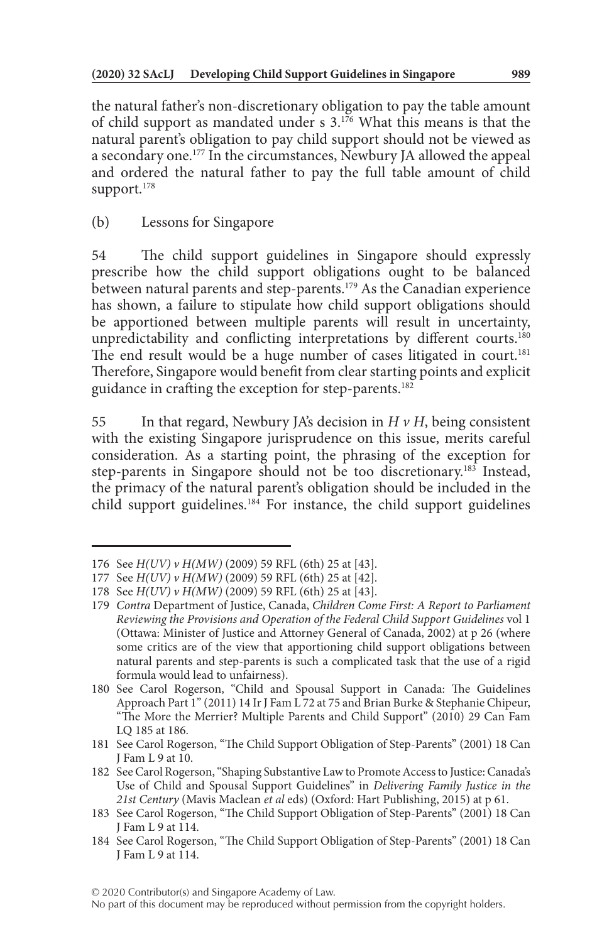the natural father's non-discretionary obligation to pay the table amount of child support as mandated under s 3.176 What this means is that the natural parent's obligation to pay child support should not be viewed as a secondary one.177 In the circumstances, Newbury JA allowed the appeal and ordered the natural father to pay the full table amount of child support.<sup>178</sup>

54 The child support guidelines in Singapore should expressly prescribe how the child support obligations ought to be balanced between natural parents and step-parents.<sup>179</sup> As the Canadian experience has shown, a failure to stipulate how child support obligations should be apportioned between multiple parents will result in uncertainty, unpredictability and conflicting interpretations by different courts.<sup>180</sup> The end result would be a huge number of cases litigated in court.<sup>181</sup> Therefore, Singapore would benefit from clear starting points and explicit guidance in crafting the exception for step-parents.<sup>182</sup>

55 In that regard, Newbury JA's decision in *H v H*, being consistent with the existing Singapore jurisprudence on this issue, merits careful consideration. As a starting point, the phrasing of the exception for step-parents in Singapore should not be too discretionary.<sup>183</sup> Instead, the primacy of the natural parent's obligation should be included in the child support guidelines.<sup>184</sup> For instance, the child support guidelines

<sup>(</sup>b) Lessons for Singapore

<sup>176</sup> See *H(UV) v H(MW)* (2009) 59 RFL (6th) 25 at [43].

<sup>177</sup> See *H(UV) v H(MW)* (2009) 59 RFL (6th) 25 at [42].

<sup>178</sup> See *H(UV) v H(MW)* (2009) 59 RFL (6th) 25 at [43].

<sup>179</sup> *Contra* Department of Justice, Canada, *Children Come First: A Report to Parliament Reviewing the Provisions and Operation of the Federal Child Support Guidelines* vol 1 (Ottawa: Minister of Justice and Attorney General of Canada, 2002) at p 26 (where some critics are of the view that apportioning child support obligations between natural parents and step-parents is such a complicated task that the use of a rigid formula would lead to unfairness).

<sup>180</sup> See Carol Rogerson, "Child and Spousal Support in Canada: The Guidelines Approach Part 1" (2011) 14 Ir J Fam L 72 at 75 and Brian Burke & Stephanie Chipeur, "The More the Merrier? Multiple Parents and Child Support" (2010) 29 Can Fam LQ 185 at 186.

<sup>181</sup> See Carol Rogerson, "The Child Support Obligation of Step-Parents" (2001) 18 Can J Fam L 9 at 10.

<sup>182</sup> See Carol Rogerson, "Shaping Substantive Law to Promote Access to Justice: Canada's Use of Child and Spousal Support Guidelines" in *Delivering Family Justice in the 21st Century* (Mavis Maclean *et al* eds) (Oxford: Hart Publishing, 2015) at p 61.

<sup>183</sup> See Carol Rogerson, "The Child Support Obligation of Step-Parents" (2001) 18 Can J Fam L 9 at 114.

<sup>184</sup> See Carol Rogerson, "The Child Support Obligation of Step-Parents" (2001) 18 Can J Fam L 9 at 114.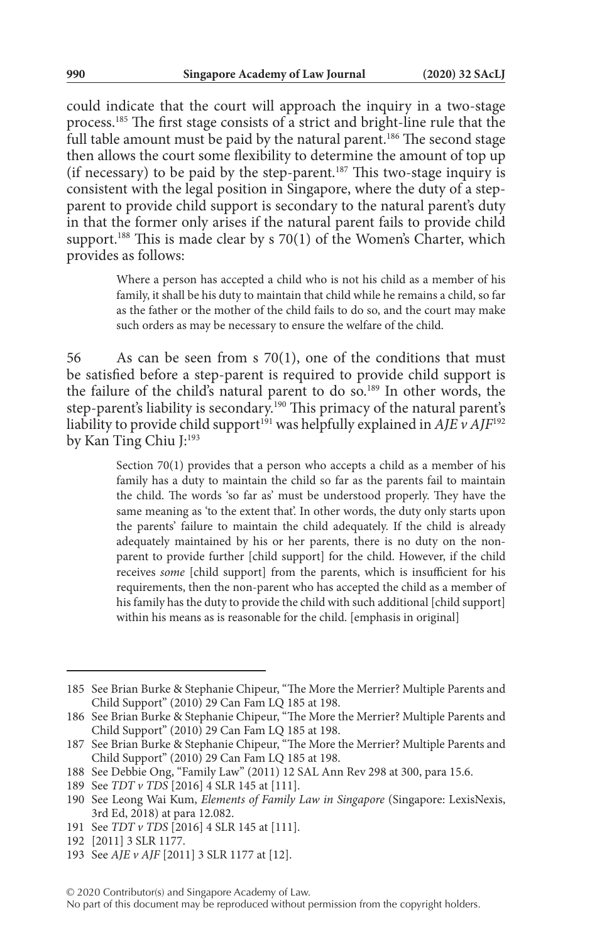could indicate that the court will approach the inquiry in a two-stage process.185 The first stage consists of a strict and bright-line rule that the full table amount must be paid by the natural parent.<sup>186</sup> The second stage then allows the court some flexibility to determine the amount of top up (if necessary) to be paid by the step-parent.187 This two-stage inquiry is consistent with the legal position in Singapore, where the duty of a stepparent to provide child support is secondary to the natural parent's duty in that the former only arises if the natural parent fails to provide child support.<sup>188</sup> This is made clear by s 70(1) of the Women's Charter, which provides as follows:

> Where a person has accepted a child who is not his child as a member of his family, it shall be his duty to maintain that child while he remains a child, so far as the father or the mother of the child fails to do so, and the court may make such orders as may be necessary to ensure the welfare of the child.

56 As can be seen from s 70(1), one of the conditions that must be satisfied before a step-parent is required to provide child support is the failure of the child's natural parent to do so.189 In other words, the step-parent's liability is secondary.190 This primacy of the natural parent's liability to provide child support<sup>191</sup> was helpfully explained in  $\overrightarrow{AJE}$  v  $\overrightarrow{AJF}^{192}$ by Kan Ting Chiu J:<sup>193</sup>

> Section 70(1) provides that a person who accepts a child as a member of his family has a duty to maintain the child so far as the parents fail to maintain the child. The words 'so far as' must be understood properly. They have the same meaning as 'to the extent that'. In other words, the duty only starts upon the parents' failure to maintain the child adequately. If the child is already adequately maintained by his or her parents, there is no duty on the nonparent to provide further [child support] for the child. However, if the child receives *some* [child support] from the parents, which is insufficient for his requirements, then the non-parent who has accepted the child as a member of his family has the duty to provide the child with such additional [child support] within his means as is reasonable for the child. [emphasis in original]

<sup>185</sup> See Brian Burke & Stephanie Chipeur, "The More the Merrier? Multiple Parents and Child Support" (2010) 29 Can Fam LQ 185 at 198.

<sup>186</sup> See Brian Burke & Stephanie Chipeur, "The More the Merrier? Multiple Parents and Child Support" (2010) 29 Can Fam LQ 185 at 198.

<sup>187</sup> See Brian Burke & Stephanie Chipeur, "The More the Merrier? Multiple Parents and Child Support" (2010) 29 Can Fam LQ 185 at 198.

<sup>188</sup> See Debbie Ong, "Family Law" (2011) 12 SAL Ann Rev 298 at 300, para 15.6.

<sup>189</sup> See *TDT v TDS* [2016] 4 SLR 145 at [111].

<sup>190</sup> See Leong Wai Kum, *Elements of Family Law in Singapore* (Singapore: LexisNexis, 3rd Ed, 2018) at para 12.082.

<sup>191</sup> See *TDT v TDS* [2016] 4 SLR 145 at [111].

<sup>192</sup> [2011] 3 SLR 1177.

<sup>193</sup> See *AJE v AJF* [2011] 3 SLR 1177 at [12].

<sup>© 2020</sup> Contributor(s) and Singapore Academy of Law.

No part of this document may be reproduced without permission from the copyright holders.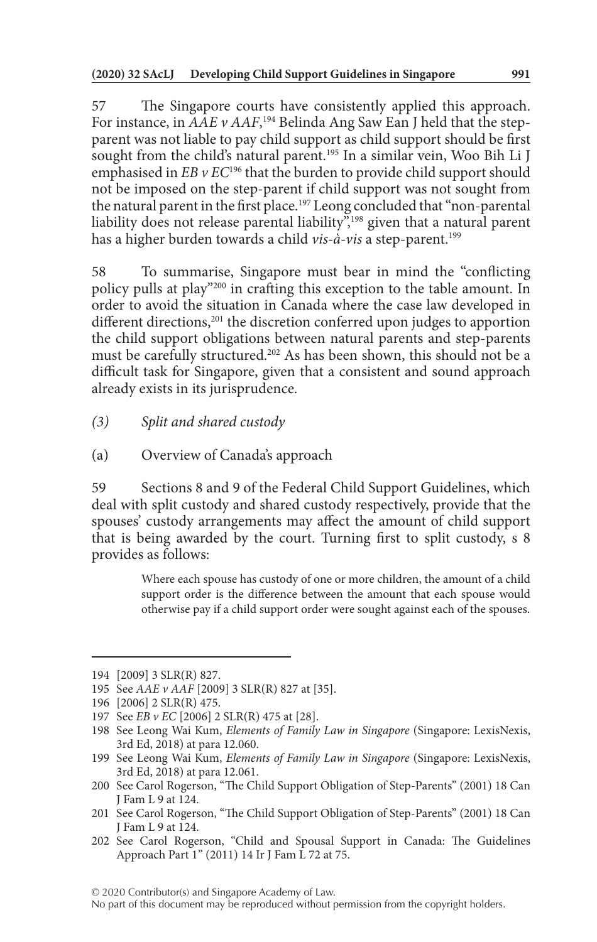57 The Singapore courts have consistently applied this approach. For instance, in *AAE v AAF*, 194 Belinda Ang Saw Ean J held that the stepparent was not liable to pay child support as child support should be first sought from the child's natural parent.<sup>195</sup> In a similar vein, Woo Bih Li J emphasised in *EB v EC*<sup>196</sup> that the burden to provide child support should not be imposed on the step-parent if child support was not sought from the natural parent in the first place.<sup>197</sup> Leong concluded that "non-parental liability does not release parental liability<sup>",198</sup> given that a natural parent has a higher burden towards a child *vis-à-vis* a step-parent.199

58 To summarise, Singapore must bear in mind the "conflicting policy pulls at play"200 in crafting this exception to the table amount. In order to avoid the situation in Canada where the case law developed in different directions,<sup>201</sup> the discretion conferred upon judges to apportion the child support obligations between natural parents and step-parents must be carefully structured.<sup>202</sup> As has been shown, this should not be a difficult task for Singapore, given that a consistent and sound approach already exists in its jurisprudence.

- *(3) Split and shared custody*
- (a) Overview of Canada's approach

59 Sections 8 and 9 of the Federal Child Support Guidelines, which deal with split custody and shared custody respectively, provide that the spouses' custody arrangements may affect the amount of child support that is being awarded by the court. Turning first to split custody, s 8 provides as follows:

> Where each spouse has custody of one or more children, the amount of a child support order is the difference between the amount that each spouse would otherwise pay if a child support order were sought against each of the spouses.

<sup>194</sup> [2009] 3 SLR(R) 827.

<sup>195</sup> See *AAE v AAF* [2009] 3 SLR(R) 827 at [35].

<sup>196</sup> [2006] 2 SLR(R) 475.

<sup>197</sup> See *EB v EC* [2006] 2 SLR(R) 475 at [28].

<sup>198</sup> See Leong Wai Kum, *Elements of Family Law in Singapore* (Singapore: LexisNexis, 3rd Ed, 2018) at para 12.060.

<sup>199</sup> See Leong Wai Kum, *Elements of Family Law in Singapore* (Singapore: LexisNexis, 3rd Ed, 2018) at para 12.061.

<sup>200</sup> See Carol Rogerson, "The Child Support Obligation of Step-Parents" (2001) 18 Can J Fam L 9 at 124.

<sup>201</sup> See Carol Rogerson, "The Child Support Obligation of Step-Parents" (2001) 18 Can J Fam L 9 at 124.

<sup>202</sup> See Carol Rogerson, "Child and Spousal Support in Canada: The Guidelines Approach Part 1" (2011) 14 Ir J Fam L 72 at 75.

No part of this document may be reproduced without permission from the copyright holders.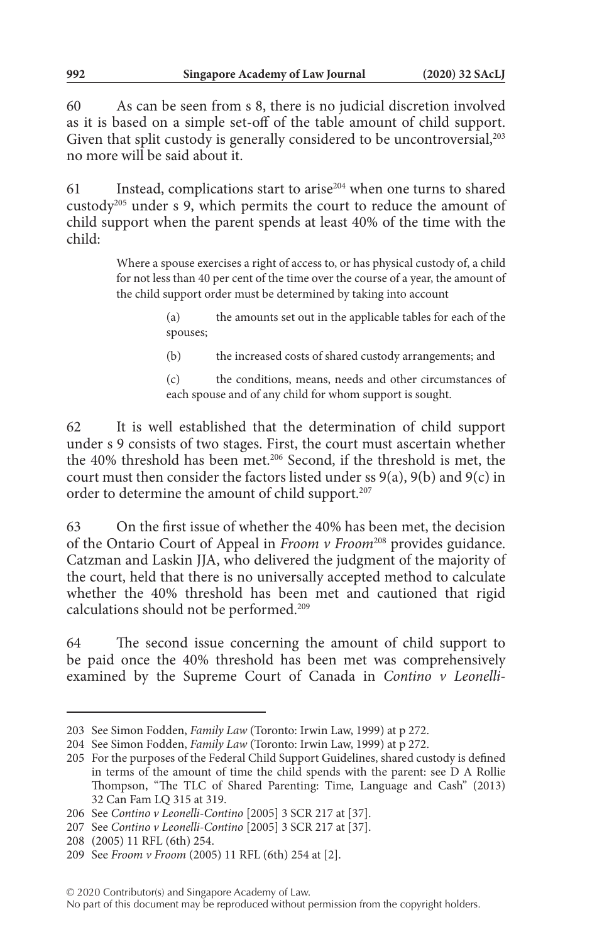60 As can be seen from s 8, there is no judicial discretion involved as it is based on a simple set-off of the table amount of child support. Given that split custody is generally considered to be uncontroversial,<sup>203</sup> no more will be said about it.

61 Instead, complications start to arise204 when one turns to shared custody205 under s 9, which permits the court to reduce the amount of child support when the parent spends at least 40% of the time with the child:

> Where a spouse exercises a right of access to, or has physical custody of, a child for not less than 40 per cent of the time over the course of a year, the amount of the child support order must be determined by taking into account

- (a) the amounts set out in the applicable tables for each of the spouses;
- (b) the increased costs of shared custody arrangements; and

(c) the conditions, means, needs and other circumstances of each spouse and of any child for whom support is sought.

62 It is well established that the determination of child support under s 9 consists of two stages. First, the court must ascertain whether the 40% threshold has been met.<sup>206</sup> Second, if the threshold is met, the court must then consider the factors listed under ss 9(a), 9(b) and 9(c) in order to determine the amount of child support.<sup>207</sup>

63 On the first issue of whether the 40% has been met, the decision of the Ontario Court of Appeal in *Froom v Froom*208 provides guidance. Catzman and Laskin JJA, who delivered the judgment of the majority of the court, held that there is no universally accepted method to calculate whether the 40% threshold has been met and cautioned that rigid calculations should not be performed.209

64 The second issue concerning the amount of child support to be paid once the 40% threshold has been met was comprehensively examined by the Supreme Court of Canada in *Contino v Leonelli-*

<sup>203</sup> See Simon Fodden, *Family Law* (Toronto: Irwin Law, 1999) at p 272.

<sup>204</sup> See Simon Fodden, *Family Law* (Toronto: Irwin Law, 1999) at p 272.

<sup>205</sup> For the purposes of the Federal Child Support Guidelines, shared custody is defined in terms of the amount of time the child spends with the parent: see D A Rollie Thompson, "The TLC of Shared Parenting: Time, Language and Cash" (2013) 32 Can Fam LQ 315 at 319.

<sup>206</sup> See *Contino v Leonelli-Contino* [2005] 3 SCR 217 at [37].

<sup>207</sup> See *Contino v Leonelli-Contino* [2005] 3 SCR 217 at [37].

<sup>208</sup> (2005) 11 RFL (6th) 254.

<sup>209</sup> See *Froom v Froom* (2005) 11 RFL (6th) 254 at [2].

<sup>© 2020</sup> Contributor(s) and Singapore Academy of Law.

No part of this document may be reproduced without permission from the copyright holders.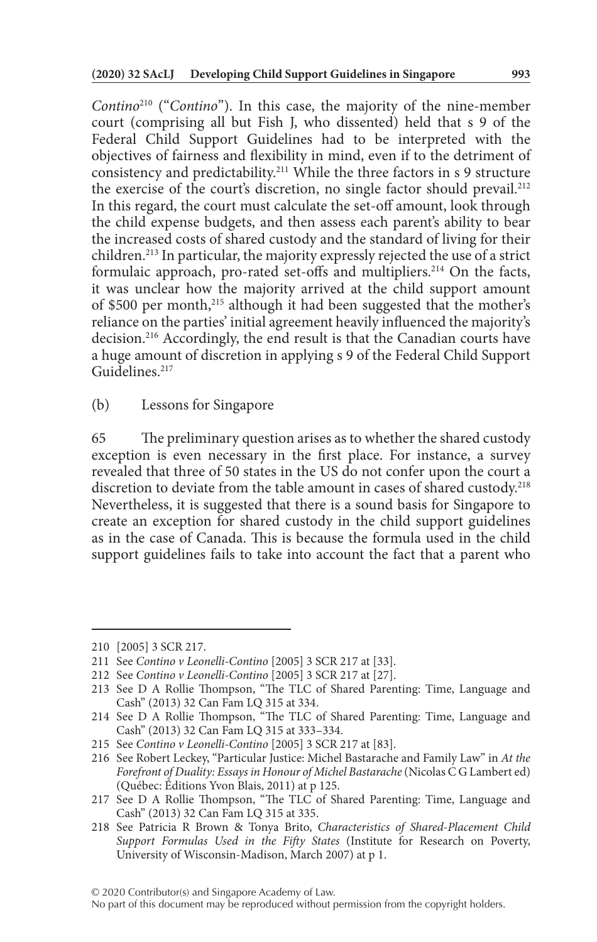*Contino*210 ("*Contino*"). In this case, the majority of the nine-member court (comprising all but Fish J, who dissented) held that s 9 of the Federal Child Support Guidelines had to be interpreted with the objectives of fairness and flexibility in mind, even if to the detriment of consistency and predictability.211 While the three factors in s 9 structure the exercise of the court's discretion, no single factor should prevail.<sup>212</sup> In this regard, the court must calculate the set-off amount, look through the child expense budgets, and then assess each parent's ability to bear the increased costs of shared custody and the standard of living for their children.213 In particular, the majority expressly rejected the use of a strict formulaic approach, pro-rated set-offs and multipliers.<sup>214</sup> On the facts, it was unclear how the majority arrived at the child support amount of \$500 per month,215 although it had been suggested that the mother's reliance on the parties' initial agreement heavily influenced the majority's decision.216 Accordingly, the end result is that the Canadian courts have a huge amount of discretion in applying s 9 of the Federal Child Support Guidelines<sup>217</sup>

(b) Lessons for Singapore

65 The preliminary question arises as to whether the shared custody exception is even necessary in the first place. For instance, a survey revealed that three of 50 states in the US do not confer upon the court a discretion to deviate from the table amount in cases of shared custody.<sup>218</sup> Nevertheless, it is suggested that there is a sound basis for Singapore to create an exception for shared custody in the child support guidelines as in the case of Canada. This is because the formula used in the child support guidelines fails to take into account the fact that a parent who

<sup>210</sup> [2005] 3 SCR 217.

<sup>211</sup> See *Contino v Leonelli-Contino* [2005] 3 SCR 217 at [33].

<sup>212</sup> See *Contino v Leonelli-Contino* [2005] 3 SCR 217 at [27].

<sup>213</sup> See D A Rollie Thompson, "The TLC of Shared Parenting: Time, Language and Cash" (2013) 32 Can Fam LQ 315 at 334.

<sup>214</sup> See D A Rollie Thompson, "The TLC of Shared Parenting: Time, Language and Cash" (2013) 32 Can Fam LQ 315 at 333–334.

<sup>215</sup> See *Contino v Leonelli-Contino* [2005] 3 SCR 217 at [83].

<sup>216</sup> See Robert Leckey, "Particular Justice: Michel Bastarache and Family Law" in *At the Forefront of Duality: Essays in Honour of Michel Bastarache* (Nicolas C G Lambert ed) (Québec: Éditions Yvon Blais, 2011) at p 125.

<sup>217</sup> See D A Rollie Thompson, "The TLC of Shared Parenting: Time, Language and Cash" (2013) 32 Can Fam LQ 315 at 335.

<sup>218</sup> See Patricia R Brown & Tonya Brito, *Characteristics of Shared-Placement Child Support Formulas Used in the Fifty States* (Institute for Research on Poverty, University of Wisconsin-Madison, March 2007) at p 1.

No part of this document may be reproduced without permission from the copyright holders.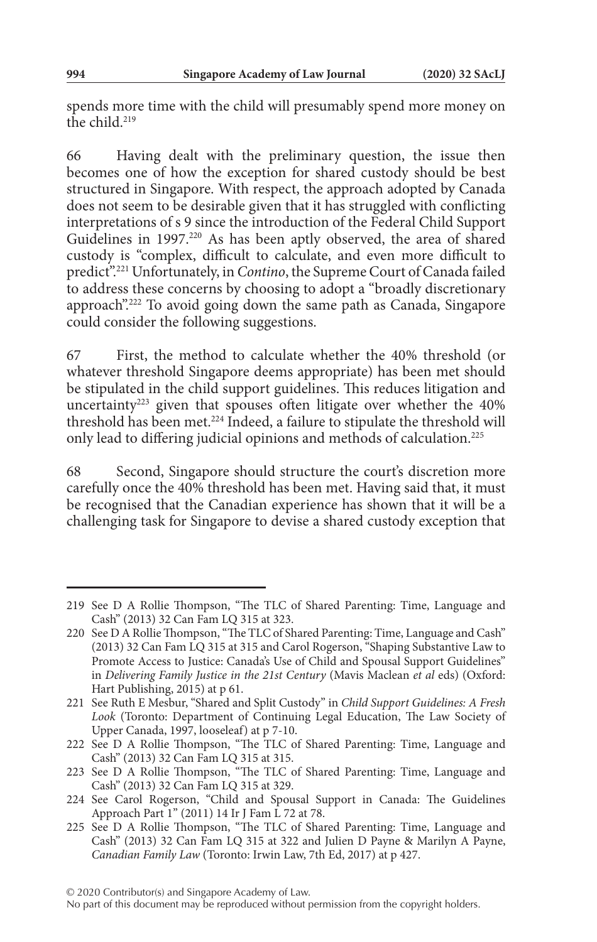spends more time with the child will presumably spend more money on the child.219

66 Having dealt with the preliminary question, the issue then becomes one of how the exception for shared custody should be best structured in Singapore. With respect, the approach adopted by Canada does not seem to be desirable given that it has struggled with conflicting interpretations of s 9 since the introduction of the Federal Child Support Guidelines in 1997.<sup>220</sup> As has been aptly observed, the area of shared custody is "complex, difficult to calculate, and even more difficult to predict".221 Unfortunately, in *Contino*, the Supreme Court of Canada failed to address these concerns by choosing to adopt a "broadly discretionary approach".222 To avoid going down the same path as Canada, Singapore could consider the following suggestions.

67 First, the method to calculate whether the 40% threshold (or whatever threshold Singapore deems appropriate) has been met should be stipulated in the child support guidelines. This reduces litigation and uncertainty<sup>223</sup> given that spouses often litigate over whether the  $40\%$ threshold has been met.<sup>224</sup> Indeed, a failure to stipulate the threshold will only lead to differing judicial opinions and methods of calculation.225

68 Second, Singapore should structure the court's discretion more carefully once the 40% threshold has been met. Having said that, it must be recognised that the Canadian experience has shown that it will be a challenging task for Singapore to devise a shared custody exception that

<sup>219</sup> See D A Rollie Thompson, "The TLC of Shared Parenting: Time, Language and Cash" (2013) 32 Can Fam LQ 315 at 323.

<sup>220</sup> See D A Rollie Thompson, "The TLC of Shared Parenting: Time, Language and Cash" (2013) 32 Can Fam LQ 315 at 315 and Carol Rogerson, "Shaping Substantive Law to Promote Access to Justice: Canada's Use of Child and Spousal Support Guidelines" in *Delivering Family Justice in the 21st Century* (Mavis Maclean *et al* eds) (Oxford: Hart Publishing, 2015) at p 61.

<sup>221</sup> See Ruth E Mesbur, "Shared and Split Custody" in *Child Support Guidelines: A Fresh Look* (Toronto: Department of Continuing Legal Education, The Law Society of Upper Canada, 1997, looseleaf) at p 7-10.

<sup>222</sup> See D A Rollie Thompson, "The TLC of Shared Parenting: Time, Language and Cash" (2013) 32 Can Fam LQ 315 at 315.

<sup>223</sup> See D A Rollie Thompson, "The TLC of Shared Parenting: Time, Language and Cash" (2013) 32 Can Fam LQ 315 at 329.

<sup>224</sup> See Carol Rogerson, "Child and Spousal Support in Canada: The Guidelines Approach Part 1" (2011) 14 Ir J Fam L 72 at 78.

<sup>225</sup> See D A Rollie Thompson, "The TLC of Shared Parenting: Time, Language and Cash" (2013) 32 Can Fam LQ 315 at 322 and Julien D Payne & Marilyn A Payne, *Canadian Family Law* (Toronto: Irwin Law, 7th Ed, 2017) at p 427.

No part of this document may be reproduced without permission from the copyright holders.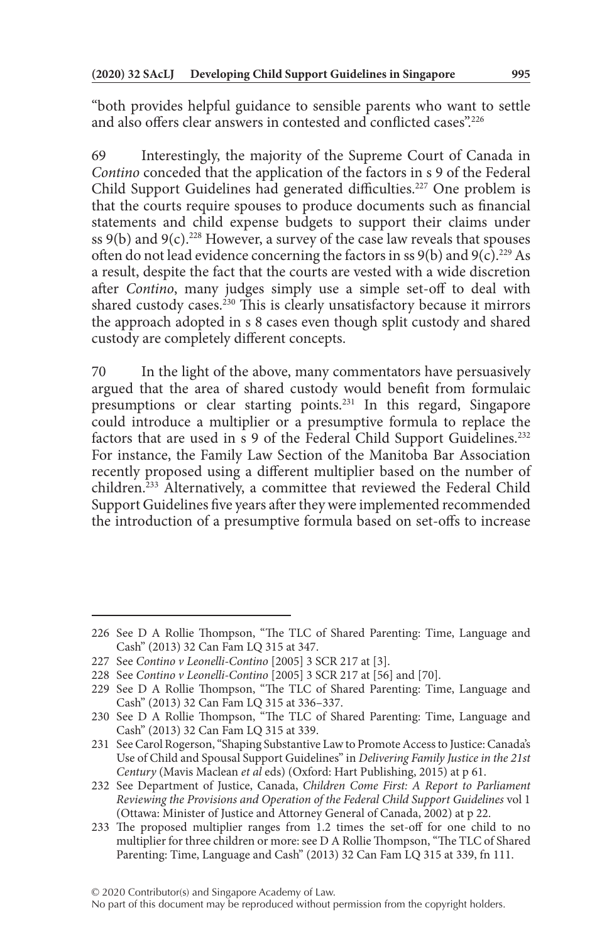"both provides helpful guidance to sensible parents who want to settle and also offers clear answers in contested and conflicted cases".226

69 Interestingly, the majority of the Supreme Court of Canada in *Contino* conceded that the application of the factors in s 9 of the Federal Child Support Guidelines had generated difficulties.<sup>227</sup> One problem is that the courts require spouses to produce documents such as financial statements and child expense budgets to support their claims under ss 9(b) and 9(c).<sup>228</sup> However, a survey of the case law reveals that spouses often do not lead evidence concerning the factors in ss  $9(b)$  and  $9(c)$ .<sup>229</sup> As a result, despite the fact that the courts are vested with a wide discretion after *Contino*, many judges simply use a simple set-off to deal with shared custody cases.<sup>230</sup> This is clearly unsatisfactory because it mirrors the approach adopted in s 8 cases even though split custody and shared custody are completely different concepts.

70 In the light of the above, many commentators have persuasively argued that the area of shared custody would benefit from formulaic presumptions or clear starting points.231 In this regard, Singapore could introduce a multiplier or a presumptive formula to replace the factors that are used in s 9 of the Federal Child Support Guidelines.<sup>232</sup> For instance, the Family Law Section of the Manitoba Bar Association recently proposed using a different multiplier based on the number of children.233 Alternatively, a committee that reviewed the Federal Child Support Guidelines five years after they were implemented recommended the introduction of a presumptive formula based on set-offs to increase

<sup>226</sup> See D A Rollie Thompson, "The TLC of Shared Parenting: Time, Language and Cash" (2013) 32 Can Fam LQ 315 at 347.

<sup>227</sup> See *Contino v Leonelli-Contino* [2005] 3 SCR 217 at [3].

<sup>228</sup> See *Contino v Leonelli-Contino* [2005] 3 SCR 217 at [56] and [70].

<sup>229</sup> See D A Rollie Thompson, "The TLC of Shared Parenting: Time, Language and Cash" (2013) 32 Can Fam LQ 315 at 336–337.

<sup>230</sup> See D A Rollie Thompson, "The TLC of Shared Parenting: Time, Language and Cash" (2013) 32 Can Fam LQ 315 at 339.

<sup>231</sup> See Carol Rogerson, "Shaping Substantive Law to Promote Access to Justice: Canada's Use of Child and Spousal Support Guidelines" in *Delivering Family Justice in the 21st Century* (Mavis Maclean *et al* eds) (Oxford: Hart Publishing, 2015) at p 61.

<sup>232</sup> See Department of Justice, Canada, *Children Come First: A Report to Parliament Reviewing the Provisions and Operation of the Federal Child Support Guidelines* vol 1 (Ottawa: Minister of Justice and Attorney General of Canada, 2002) at p 22.

<sup>233</sup> The proposed multiplier ranges from 1.2 times the set-off for one child to no multiplier for three children or more: see D A Rollie Thompson, "The TLC of Shared Parenting: Time, Language and Cash" (2013) 32 Can Fam LQ 315 at 339, fn 111.

No part of this document may be reproduced without permission from the copyright holders.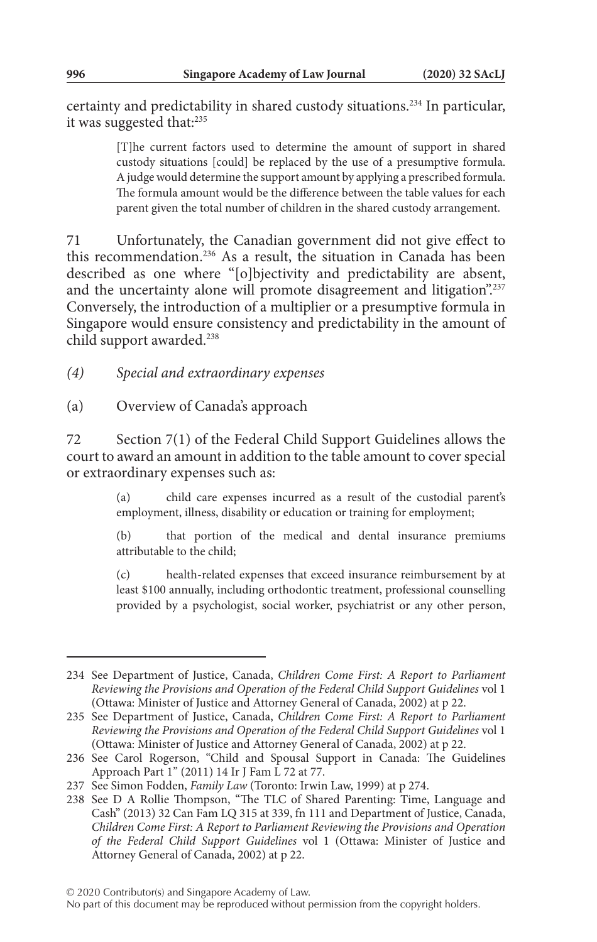certainty and predictability in shared custody situations.234 In particular, it was suggested that:235

> [T]he current factors used to determine the amount of support in shared custody situations [could] be replaced by the use of a presumptive formula. A judge would determine the support amount by applying a prescribed formula. The formula amount would be the difference between the table values for each parent given the total number of children in the shared custody arrangement.

71 Unfortunately, the Canadian government did not give effect to this recommendation.236 As a result, the situation in Canada has been described as one where "[o]bjectivity and predictability are absent, and the uncertainty alone will promote disagreement and litigation".237 Conversely, the introduction of a multiplier or a presumptive formula in Singapore would ensure consistency and predictability in the amount of child support awarded.238

*(4) Special and extraordinary expenses*

(a) Overview of Canada's approach

72 Section 7(1) of the Federal Child Support Guidelines allows the court to award an amount in addition to the table amount to cover special or extraordinary expenses such as:

> (a) child care expenses incurred as a result of the custodial parent's employment, illness, disability or education or training for employment;

> (b) that portion of the medical and dental insurance premiums attributable to the child;

> (c) health-related expenses that exceed insurance reimbursement by at least \$100 annually, including orthodontic treatment, professional counselling provided by a psychologist, social worker, psychiatrist or any other person,

<sup>234</sup> See Department of Justice, Canada, *Children Come First: A Report to Parliament Reviewing the Provisions and Operation of the Federal Child Support Guidelines* vol 1 (Ottawa: Minister of Justice and Attorney General of Canada, 2002) at p 22.

<sup>235</sup> See Department of Justice, Canada, *Children Come First: A Report to Parliament Reviewing the Provisions and Operation of the Federal Child Support Guidelines* vol 1 (Ottawa: Minister of Justice and Attorney General of Canada, 2002) at p 22.

<sup>236</sup> See Carol Rogerson, "Child and Spousal Support in Canada: The Guidelines Approach Part 1" (2011) 14 Ir J Fam L 72 at 77.

<sup>237</sup> See Simon Fodden, *Family Law* (Toronto: Irwin Law, 1999) at p 274.

<sup>238</sup> See D A Rollie Thompson, "The TLC of Shared Parenting: Time, Language and Cash" (2013) 32 Can Fam LQ 315 at 339, fn 111 and Department of Justice, Canada, *Children Come First: A Report to Parliament Reviewing the Provisions and Operation of the Federal Child Support Guidelines* vol 1 (Ottawa: Minister of Justice and Attorney General of Canada, 2002) at p 22.

No part of this document may be reproduced without permission from the copyright holders.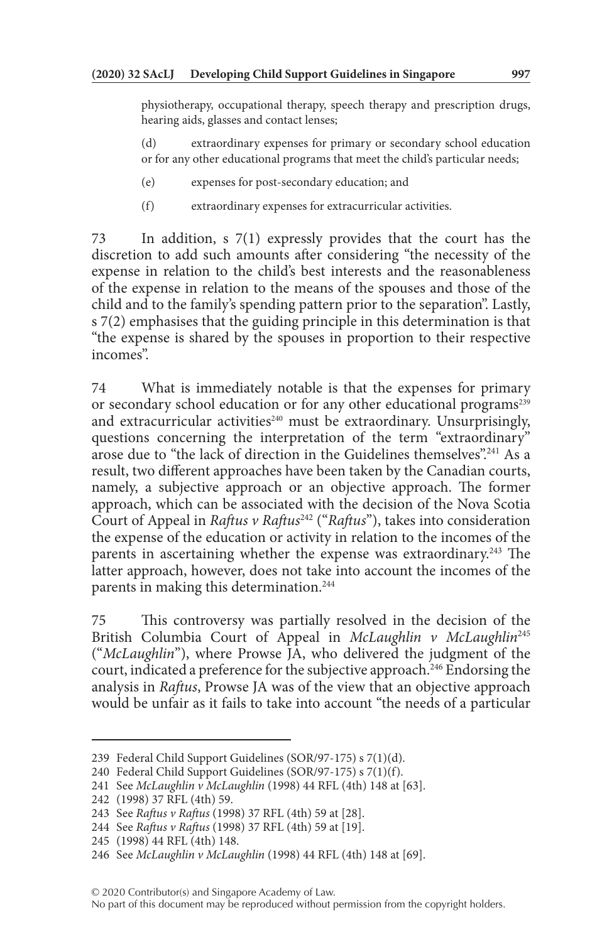physiotherapy, occupational therapy, speech therapy and prescription drugs, hearing aids, glasses and contact lenses;

(d) extraordinary expenses for primary or secondary school education or for any other educational programs that meet the child's particular needs;

- (e) expenses for post-secondary education; and
- (f) extraordinary expenses for extracurricular activities.

73 In addition, s 7(1) expressly provides that the court has the discretion to add such amounts after considering "the necessity of the expense in relation to the child's best interests and the reasonableness of the expense in relation to the means of the spouses and those of the child and to the family's spending pattern prior to the separation". Lastly, s 7(2) emphasises that the guiding principle in this determination is that "the expense is shared by the spouses in proportion to their respective incomes".

74 What is immediately notable is that the expenses for primary or secondary school education or for any other educational programs<sup>239</sup> and extracurricular activities<sup>240</sup> must be extraordinary. Unsurprisingly, questions concerning the interpretation of the term "extraordinary" arose due to "the lack of direction in the Guidelines themselves".241 As a result, two different approaches have been taken by the Canadian courts, namely, a subjective approach or an objective approach. The former approach, which can be associated with the decision of the Nova Scotia Court of Appeal in *Raftus v Raftus*<sup>242</sup> ("*Raftus*"), takes into consideration the expense of the education or activity in relation to the incomes of the parents in ascertaining whether the expense was extraordinary.<sup>243</sup> The latter approach, however, does not take into account the incomes of the parents in making this determination.<sup>244</sup>

75 This controversy was partially resolved in the decision of the British Columbia Court of Appeal in *McLaughlin v McLaughlin*<sup>245</sup> ("*McLaughlin*"), where Prowse JA, who delivered the judgment of the court, indicated a preference for the subjective approach.<sup>246</sup> Endorsing the analysis in *Raftus*, Prowse JA was of the view that an objective approach would be unfair as it fails to take into account "the needs of a particular

<sup>239</sup> Federal Child Support Guidelines (SOR/97-175) s 7(1)(d).

<sup>240</sup> Federal Child Support Guidelines (SOR/97-175) s 7(1)(f).

<sup>241</sup> See *McLaughlin v McLaughlin* (1998) 44 RFL (4th) 148 at [63].

<sup>242</sup> (1998) 37 RFL (4th) 59.

<sup>243</sup> See *Raftus v Raftus* (1998) 37 RFL (4th) 59 at [28].

<sup>244</sup> See *Raftus v Raftus* (1998) 37 RFL (4th) 59 at [19].

<sup>245</sup> (1998) 44 RFL (4th) 148.

<sup>246</sup> See *McLaughlin v McLaughlin* (1998) 44 RFL (4th) 148 at [69].

No part of this document may be reproduced without permission from the copyright holders.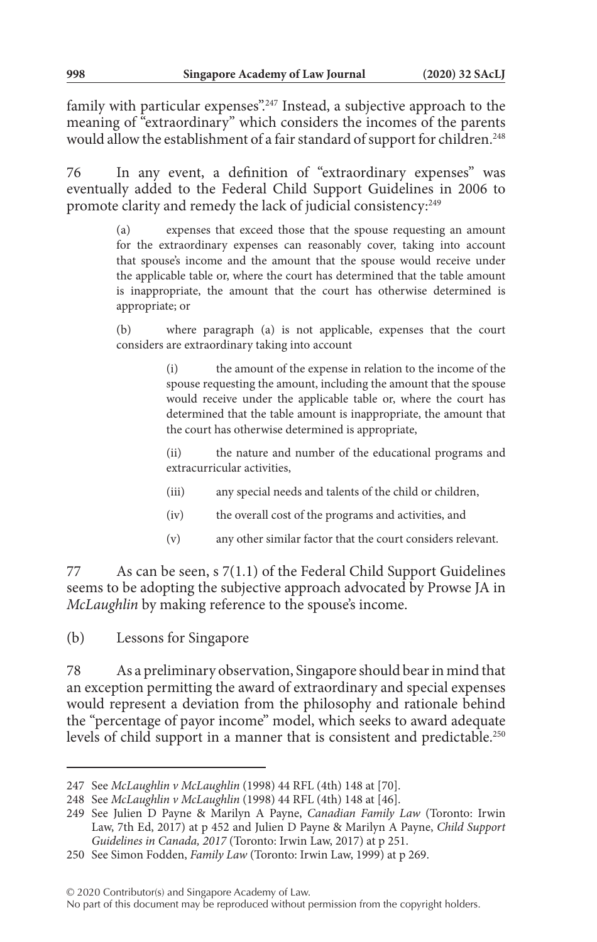family with particular expenses".247 Instead, a subjective approach to the meaning of "extraordinary" which considers the incomes of the parents would allow the establishment of a fair standard of support for children.<sup>248</sup>

76 In any event, a definition of "extraordinary expenses" was eventually added to the Federal Child Support Guidelines in 2006 to promote clarity and remedy the lack of judicial consistency:<sup>249</sup>

> (a) expenses that exceed those that the spouse requesting an amount for the extraordinary expenses can reasonably cover, taking into account that spouse's income and the amount that the spouse would receive under the applicable table or, where the court has determined that the table amount is inappropriate, the amount that the court has otherwise determined is appropriate; or

> (b) where paragraph (a) is not applicable, expenses that the court considers are extraordinary taking into account

> > (i) the amount of the expense in relation to the income of the spouse requesting the amount, including the amount that the spouse would receive under the applicable table or, where the court has determined that the table amount is inappropriate, the amount that the court has otherwise determined is appropriate,

> > (ii) the nature and number of the educational programs and extracurricular activities,

- (iii) any special needs and talents of the child or children,
- (iv) the overall cost of the programs and activities, and
- (v) any other similar factor that the court considers relevant.

77 As can be seen, s 7(1.1) of the Federal Child Support Guidelines seems to be adopting the subjective approach advocated by Prowse JA in *McLaughlin* by making reference to the spouse's income.

(b) Lessons for Singapore

78 As a preliminary observation, Singapore should bear in mind that an exception permitting the award of extraordinary and special expenses would represent a deviation from the philosophy and rationale behind the "percentage of payor income" model, which seeks to award adequate levels of child support in a manner that is consistent and predictable.<sup>250</sup>

<sup>247</sup> See *McLaughlin v McLaughlin* (1998) 44 RFL (4th) 148 at [70].

<sup>248</sup> See *McLaughlin v McLaughlin* (1998) 44 RFL (4th) 148 at [46].

<sup>249</sup> See Julien D Payne & Marilyn A Payne, *Canadian Family Law* (Toronto: Irwin Law, 7th Ed, 2017) at p 452 and Julien D Payne & Marilyn A Payne, *Child Support Guidelines in Canada, 2017* (Toronto: Irwin Law, 2017) at p 251.

<sup>250</sup> See Simon Fodden, *Family Law* (Toronto: Irwin Law, 1999) at p 269.

No part of this document may be reproduced without permission from the copyright holders.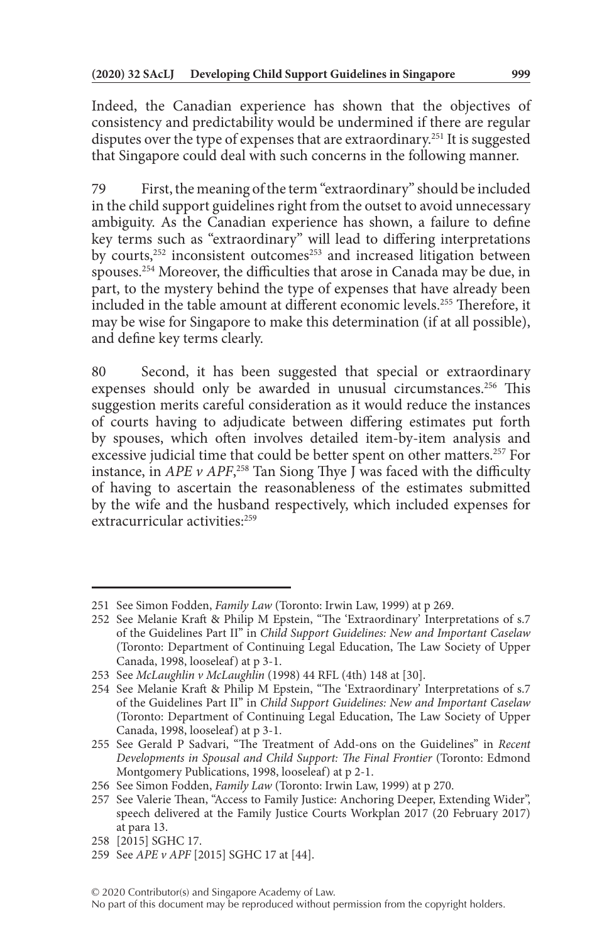Indeed, the Canadian experience has shown that the objectives of consistency and predictability would be undermined if there are regular disputes over the type of expenses that are extraordinary.251 It is suggested that Singapore could deal with such concerns in the following manner.

79 First, the meaning of the term "extraordinary" should be included in the child support guidelines right from the outset to avoid unnecessary ambiguity. As the Canadian experience has shown, a failure to define key terms such as "extraordinary" will lead to differing interpretations by courts,<sup>252</sup> inconsistent outcomes<sup>253</sup> and increased litigation between spouses.254 Moreover, the difficulties that arose in Canada may be due, in part, to the mystery behind the type of expenses that have already been included in the table amount at different economic levels.255 Therefore, it may be wise for Singapore to make this determination (if at all possible), and define key terms clearly.

80 Second, it has been suggested that special or extraordinary expenses should only be awarded in unusual circumstances.<sup>256</sup> This suggestion merits careful consideration as it would reduce the instances of courts having to adjudicate between differing estimates put forth by spouses, which often involves detailed item-by-item analysis and excessive judicial time that could be better spent on other matters.<sup>257</sup> For instance, in *APE v APF*, 258 Tan Siong Thye J was faced with the difficulty of having to ascertain the reasonableness of the estimates submitted by the wife and the husband respectively, which included expenses for extracurricular activities:259

<sup>251</sup> See Simon Fodden, *Family Law* (Toronto: Irwin Law, 1999) at p 269.

<sup>252</sup> See Melanie Kraft & Philip M Epstein, "The 'Extraordinary' Interpretations of s.7 of the Guidelines Part II" in *Child Support Guidelines: New and Important Caselaw* (Toronto: Department of Continuing Legal Education, The Law Society of Upper Canada, 1998, looseleaf) at p 3-1.

<sup>253</sup> See *McLaughlin v McLaughlin* (1998) 44 RFL (4th) 148 at [30].

<sup>254</sup> See Melanie Kraft & Philip M Epstein, "The 'Extraordinary' Interpretations of s.7 of the Guidelines Part II" in *Child Support Guidelines: New and Important Caselaw* (Toronto: Department of Continuing Legal Education, The Law Society of Upper Canada, 1998, looseleaf) at p 3-1.

<sup>255</sup> See Gerald P Sadvari, "The Treatment of Add-ons on the Guidelines" in *Recent Developments in Spousal and Child Support: The Final Frontier* (Toronto: Edmond Montgomery Publications, 1998, looseleaf) at p 2-1.

<sup>256</sup> See Simon Fodden, *Family Law* (Toronto: Irwin Law, 1999) at p 270.

<sup>257</sup> See Valerie Thean, "Access to Family Justice: Anchoring Deeper, Extending Wider", speech delivered at the Family Justice Courts Workplan 2017 (20 February 2017) at para 13.

<sup>258</sup> [2015] SGHC 17.

<sup>259</sup> See *APE v APF* [2015] SGHC 17 at [44].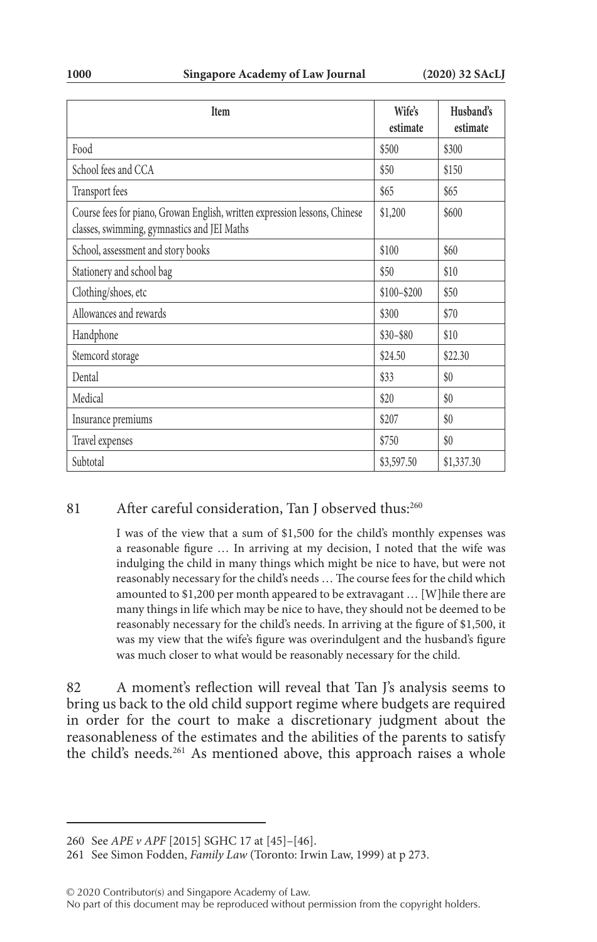| <b>Item</b>                                                                                                               | Wife's<br>estimate | Husband's<br>estimate |
|---------------------------------------------------------------------------------------------------------------------------|--------------------|-----------------------|
| Food                                                                                                                      | \$500              | \$300                 |
| School fees and CCA                                                                                                       | \$50               | \$150                 |
| Transport fees                                                                                                            | \$65               | \$65                  |
| Course fees for piano, Growan English, written expression lessons, Chinese<br>classes, swimming, gymnastics and JEI Maths | \$1,200            | \$600                 |
| School, assessment and story books                                                                                        | \$100              | \$60                  |
| Stationery and school bag                                                                                                 | \$50               | \$10                  |
| Clothing/shoes, etc                                                                                                       | $$100 - $200$      | \$50                  |
| Allowances and rewards                                                                                                    | \$300              | \$70                  |
| Handphone                                                                                                                 | $$30 - $80$        | \$10                  |
| Stemcord storage                                                                                                          | \$24.50            | \$22.30               |
| Dental                                                                                                                    | \$33               | \$0                   |
| Medical                                                                                                                   | \$20               | \$0                   |
| Insurance premiums                                                                                                        | \$207              | \$0                   |
| Travel expenses                                                                                                           | \$750              | \$0                   |
| Subtotal                                                                                                                  | \$3,597.50         | \$1,337.30            |

### 81 After careful consideration, Tan J observed thus:<sup>260</sup>

I was of the view that a sum of \$1,500 for the child's monthly expenses was a reasonable figure … In arriving at my decision, I noted that the wife was indulging the child in many things which might be nice to have, but were not reasonably necessary for the child's needs … The course fees for the child which amounted to \$1,200 per month appeared to be extravagant … [W]hile there are many things in life which may be nice to have, they should not be deemed to be reasonably necessary for the child's needs. In arriving at the figure of \$1,500, it was my view that the wife's figure was overindulgent and the husband's figure was much closer to what would be reasonably necessary for the child.

82 A moment's reflection will reveal that Tan J's analysis seems to bring us back to the old child support regime where budgets are required in order for the court to make a discretionary judgment about the reasonableness of the estimates and the abilities of the parents to satisfy the child's needs.<sup>261</sup> As mentioned above, this approach raises a whole

© 2020 Contributor(s) and Singapore Academy of Law.

<sup>260</sup> See *APE v APF* [2015] SGHC 17 at [45]–[46].

<sup>261</sup> See Simon Fodden, *Family Law* (Toronto: Irwin Law, 1999) at p 273.

No part of this document may be reproduced without permission from the copyright holders.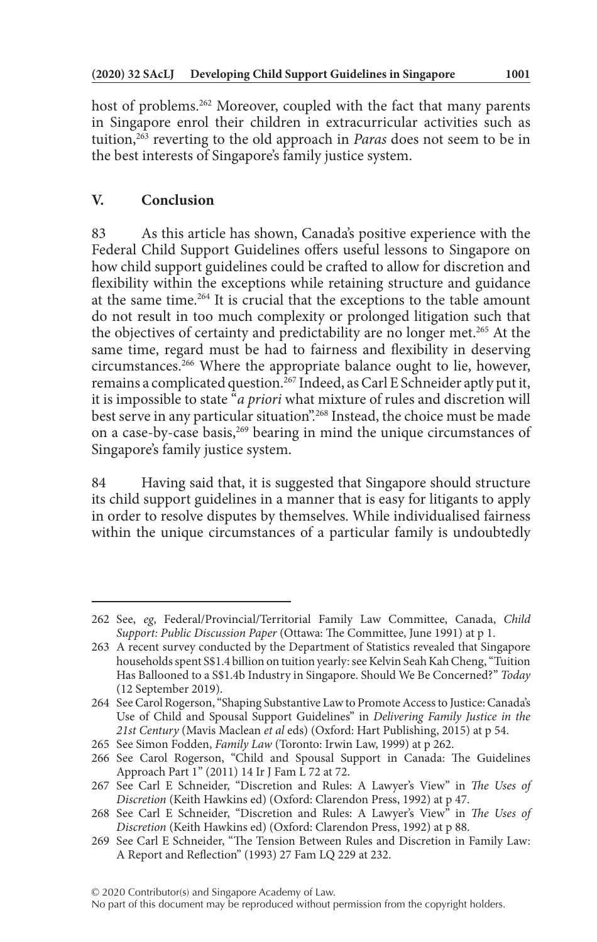host of problems.<sup>262</sup> Moreover, coupled with the fact that many parents in Singapore enrol their children in extracurricular activities such as tuition,263 reverting to the old approach in *Paras* does not seem to be in the best interests of Singapore's family justice system.

## **V. Conclusion**

83 As this article has shown, Canada's positive experience with the Federal Child Support Guidelines offers useful lessons to Singapore on how child support guidelines could be crafted to allow for discretion and flexibility within the exceptions while retaining structure and guidance at the same time.264 It is crucial that the exceptions to the table amount do not result in too much complexity or prolonged litigation such that the objectives of certainty and predictability are no longer met.<sup>265</sup> At the same time, regard must be had to fairness and flexibility in deserving circumstances.266 Where the appropriate balance ought to lie, however, remains a complicated question.<sup>267</sup> Indeed, as Carl E Schneider aptly put it, it is impossible to state "*a priori* what mixture of rules and discretion will best serve in any particular situation".<sup>268</sup> Instead, the choice must be made on a case-by-case basis,<sup>269</sup> bearing in mind the unique circumstances of Singapore's family justice system.

84 Having said that, it is suggested that Singapore should structure its child support guidelines in a manner that is easy for litigants to apply in order to resolve disputes by themselves. While individualised fairness within the unique circumstances of a particular family is undoubtedly

<sup>262</sup> See, *eg*, Federal/Provincial/Territorial Family Law Committee, Canada, *Child Support: Public Discussion Paper* (Ottawa: The Committee, June 1991) at p 1.

<sup>263</sup> A recent survey conducted by the Department of Statistics revealed that Singapore households spent S\$1.4 billion on tuition yearly: see Kelvin Seah Kah Cheng, "Tuition Has Ballooned to a S\$1.4b Industry in Singapore. Should We Be Concerned?" *Today* (12 September 2019).

<sup>264</sup> See Carol Rogerson, "Shaping Substantive Law to Promote Access to Justice: Canada's Use of Child and Spousal Support Guidelines" in *Delivering Family Justice in the 21st Century* (Mavis Maclean *et al* eds) (Oxford: Hart Publishing, 2015) at p 54.

<sup>265</sup> See Simon Fodden, *Family Law* (Toronto: Irwin Law, 1999) at p 262.

<sup>266</sup> See Carol Rogerson, "Child and Spousal Support in Canada: The Guidelines Approach Part 1" (2011) 14 Ir J Fam L 72 at 72.

<sup>267</sup> See Carl E Schneider, "Discretion and Rules: A Lawyer's View" in *The Uses of Discretion* (Keith Hawkins ed) (Oxford: Clarendon Press, 1992) at p 47.

<sup>268</sup> See Carl E Schneider, "Discretion and Rules: A Lawyer's View" in *The Uses of Discretion* (Keith Hawkins ed) (Oxford: Clarendon Press, 1992) at p 88.

<sup>269</sup> See Carl E Schneider, "The Tension Between Rules and Discretion in Family Law: A Report and Reflection" (1993) 27 Fam LQ 229 at 232.